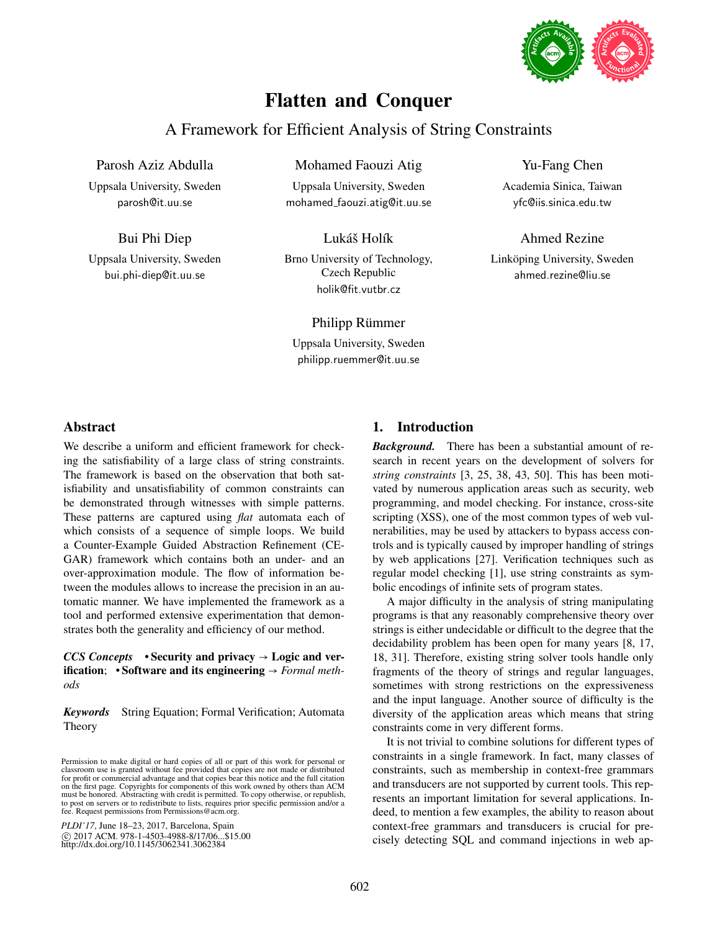# Flatten and Conquer

# A Framework for Efficient Analysis of String Constraints

Mohamed Faouzi Atig Uppsala University, Sweden mohamed faouzi.atig@it.uu.se

Parosh Aziz Abdulla

Uppsala University, Sweden parosh@it.uu.se

Bui Phi Diep

Uppsala University, Sweden bui.phi-diep@it.uu.se

Brno University of Technology, Czech Republic holik@fit.vutbr.cz

Lukáš Holík

Philipp Rümmer

Uppsala University, Sweden philipp.ruemmer@it.uu.se

# Yu-Fang Chen

Academia Sinica, Taiwan yfc@iis.sinica.edu.tw

Ahmed Rezine Linköping University, Sweden ahmed.rezine@liu.se

# Abstract

We describe a uniform and efficient framework for checking the satisfiability of a large class of string constraints. The framework is based on the observation that both satisfiability and unsatisfiability of common constraints can be demonstrated through witnesses with simple patterns. These patterns are captured using *flat* automata each of which consists of a sequence of simple loops. We build a Counter-Example Guided Abstraction Refinement (CE-GAR) framework which contains both an under- and an over-approximation module. The flow of information between the modules allows to increase the precision in an automatic manner. We have implemented the framework as a tool and performed extensive experimentation that demonstrates both the generality and efficiency of our method.

*CCS Concepts* • Security and privacy → Logic and verification; • Software and its engineering → *Formal methods*

*Keywords* String Equation; Formal Verification; Automata Theory

*PLDI'17*, June 18–23, 2017, Barcelona, Spain c 2017 ACM. 978-1-4503-4988-8/17/06...\$15.00 http://dx.doi.org/10.1145/3062341.3062384

# 1. Introduction

*Background.* There has been a substantial amount of research in recent years on the development of solvers for *string constraints* [3, 25, 38, 43, 50]. This has been motivated by numerous application areas such as security, web programming, and model checking. For instance, cross-site scripting (XSS), one of the most common types of web vulnerabilities, may be used by attackers to bypass access controls and is typically caused by improper handling of strings by web applications [27]. Verification techniques such as regular model checking [1], use string constraints as symbolic encodings of infinite sets of program states.

A major difficulty in the analysis of string manipulating programs is that any reasonably comprehensive theory over strings is either undecidable or difficult to the degree that the decidability problem has been open for many years [8, 17, 18, 31]. Therefore, existing string solver tools handle only fragments of the theory of strings and regular languages, sometimes with strong restrictions on the expressiveness and the input language. Another source of difficulty is the diversity of the application areas which means that string constraints come in very different forms.

It is not trivial to combine solutions for different types of constraints in a single framework. In fact, many classes of constraints, such as membership in context-free grammars and transducers are not supported by current tools. This represents an important limitation for several applications. Indeed, to mention a few examples, the ability to reason about context-free grammars and transducers is crucial for precisely detecting SQL and command injections in web ap-

Permission to make digital or hard copies of all or part of this work for personal or classroom use is granted without fee provided that copies are not made or distributed for profit or commercial advantage and that copies bear this notice and the full citation on the first page. Copyrights for components of this work owned by others than ACM must be honored. Abstracting with credit is permitted. To copy otherwise, or republish, to post on servers or to redistribute to lists, requires prior specific permission and/or a fee. Request permissions from Permissions@acm.org.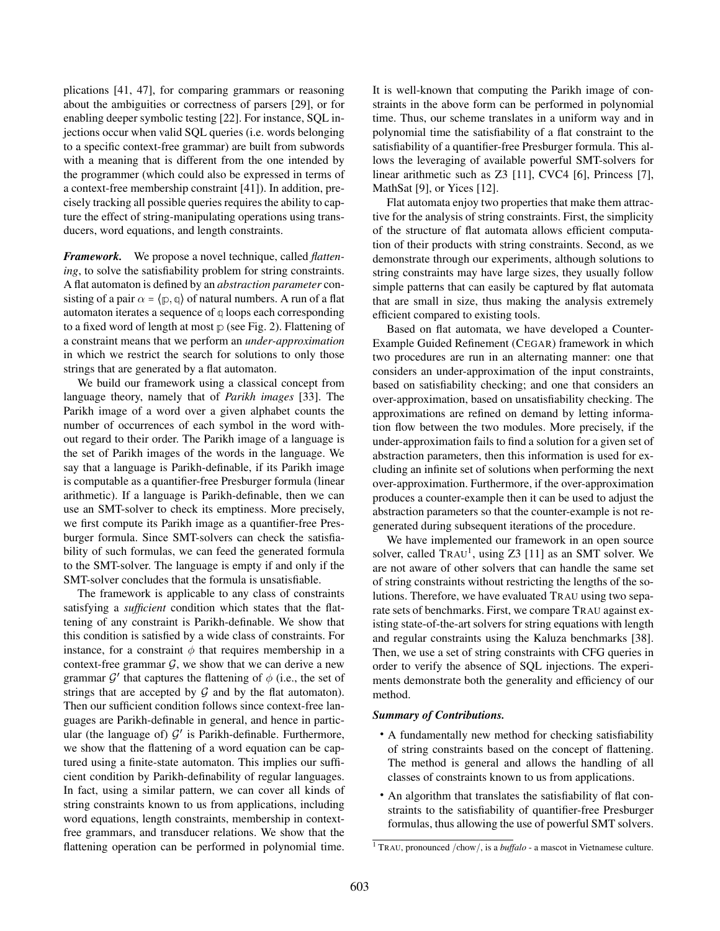plications [41, 47], for comparing grammars or reasoning about the ambiguities or correctness of parsers [29], or for enabling deeper symbolic testing [22]. For instance, SQL injections occur when valid SQL queries (i.e. words belonging to a specific context-free grammar) are built from subwords with a meaning that is different from the one intended by the programmer (which could also be expressed in terms of a context-free membership constraint [41]). In addition, precisely tracking all possible queries requires the ability to capture the effect of string-manipulating operations using transducers, word equations, and length constraints.

*Framework.* We propose a novel technique, called *flattening*, to solve the satisfiability problem for string constraints. A flat automaton is defined by an *abstraction parameter* consisting of a pair  $\alpha = \langle p, q \rangle$  of natural numbers. A run of a flat automaton iterates a sequence of **q** loops each corresponding to a fixed word of length at most **p** (see Fig. 2). Flattening of a constraint means that we perform an *under-approximation* in which we restrict the search for solutions to only those strings that are generated by a flat automaton.

We build our framework using a classical concept from language theory, namely that of *Parikh images* [33]. The Parikh image of a word over a given alphabet counts the number of occurrences of each symbol in the word without regard to their order. The Parikh image of a language is the set of Parikh images of the words in the language. We say that a language is Parikh-definable, if its Parikh image is computable as a quantifier-free Presburger formula (linear arithmetic). If a language is Parikh-definable, then we can use an SMT-solver to check its emptiness. More precisely, we first compute its Parikh image as a quantifier-free Presburger formula. Since SMT-solvers can check the satisfiability of such formulas, we can feed the generated formula to the SMT-solver. The language is empty if and only if the SMT-solver concludes that the formula is unsatisfiable.

The framework is applicable to any class of constraints satisfying a *sufficient* condition which states that the flattening of any constraint is Parikh-definable. We show that this condition is satisfied by a wide class of constraints. For instance, for a constraint  $\phi$  that requires membership in a context-free grammar  $G$ , we show that we can derive a new grammar  $\mathcal{G}'$  that captures the flattening of  $\phi$  (i.e., the set of strings that are accepted by  $G$  and by the flat automaton). Then our sufficient condition follows since context-free languages are Parikh-definable in general, and hence in particular (the language of)  $G'$  is Parikh-definable. Furthermore, we show that the flattening of a word equation can be captured using a finite-state automaton. This implies our sufficient condition by Parikh-definability of regular languages. In fact, using a similar pattern, we can cover all kinds of string constraints known to us from applications, including word equations, length constraints, membership in contextfree grammars, and transducer relations. We show that the flattening operation can be performed in polynomial time.

It is well-known that computing the Parikh image of constraints in the above form can be performed in polynomial time. Thus, our scheme translates in a uniform way and in polynomial time the satisfiability of a flat constraint to the satisfiability of a quantifier-free Presburger formula. This allows the leveraging of available powerful SMT-solvers for linear arithmetic such as Z3 [11], CVC4 [6], Princess [7], MathSat [9], or Yices [12].

Flat automata enjoy two properties that make them attractive for the analysis of string constraints. First, the simplicity of the structure of flat automata allows efficient computation of their products with string constraints. Second, as we demonstrate through our experiments, although solutions to string constraints may have large sizes, they usually follow simple patterns that can easily be captured by flat automata that are small in size, thus making the analysis extremely efficient compared to existing tools.

Based on flat automata, we have developed a Counter-Example Guided Refinement (CEGAR) framework in which two procedures are run in an alternating manner: one that considers an under-approximation of the input constraints, based on satisfiability checking; and one that considers an over-approximation, based on unsatisfiability checking. The approximations are refined on demand by letting information flow between the two modules. More precisely, if the under-approximation fails to find a solution for a given set of abstraction parameters, then this information is used for excluding an infinite set of solutions when performing the next over-approximation. Furthermore, if the over-approximation produces a counter-example then it can be used to adjust the abstraction parameters so that the counter-example is not regenerated during subsequent iterations of the procedure.

We have implemented our framework in an open source solver, called  $TRAU<sup>1</sup>$ , using Z3 [11] as an SMT solver. We are not aware of other solvers that can handle the same set of string constraints without restricting the lengths of the solutions. Therefore, we have evaluated TRAU using two separate sets of benchmarks. First, we compare TRAU against existing state-of-the-art solvers for string equations with length and regular constraints using the Kaluza benchmarks [38]. Then, we use a set of string constraints with CFG queries in order to verify the absence of SQL injections. The experiments demonstrate both the generality and efficiency of our method.

#### *Summary of Contributions.*

- A fundamentally new method for checking satisfiability of string constraints based on the concept of flattening. The method is general and allows the handling of all classes of constraints known to us from applications.
- An algorithm that translates the satisfiability of flat constraints to the satisfiability of quantifier-free Presburger formulas, thus allowing the use of powerful SMT solvers.

<sup>1</sup> TRAU, pronounced /chow/, is a *buffalo* - a mascot in Vietnamese culture.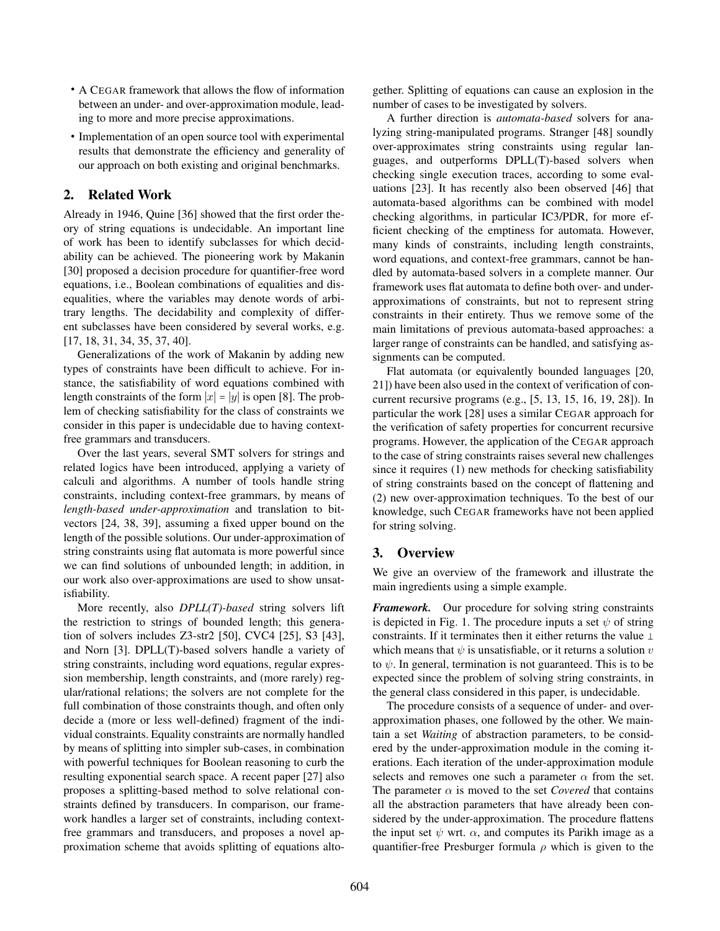- A CEGAR framework that allows the flow of information between an under- and over-approximation module, leading to more and more precise approximations.
- Implementation of an open source tool with experimental results that demonstrate the efficiency and generality of our approach on both existing and original benchmarks.

# 2. Related Work

Already in 1946, Quine [36] showed that the first order theory of string equations is undecidable. An important line of work has been to identify subclasses for which decidability can be achieved. The pioneering work by Makanin [30] proposed a decision procedure for quantifier-free word equations, i.e., Boolean combinations of equalities and disequalities, where the variables may denote words of arbitrary lengths. The decidability and complexity of different subclasses have been considered by several works, e.g. [17, 18, 31, 34, 35, 37, 40].

Generalizations of the work of Makanin by adding new types of constraints have been difficult to achieve. For instance, the satisfiability of word equations combined with length constraints of the form  $|x| = |y|$  is open [8]. The problem of checking satisfiability for the class of constraints we consider in this paper is undecidable due to having contextfree grammars and transducers.

Over the last years, several SMT solvers for strings and related logics have been introduced, applying a variety of calculi and algorithms. A number of tools handle string constraints, including context-free grammars, by means of *length-based under-approximation* and translation to bitvectors [24, 38, 39], assuming a fixed upper bound on the length of the possible solutions. Our under-approximation of string constraints using flat automata is more powerful since we can find solutions of unbounded length; in addition, in our work also over-approximations are used to show unsatisfiability.

More recently, also *DPLL(T)-based* string solvers lift the restriction to strings of bounded length; this generation of solvers includes Z3-str2 [50], CVC4 [25], S3 [43], and Norn [3]. DPLL(T)-based solvers handle a variety of string constraints, including word equations, regular expression membership, length constraints, and (more rarely) regular/rational relations; the solvers are not complete for the full combination of those constraints though, and often only decide a (more or less well-defined) fragment of the individual constraints. Equality constraints are normally handled by means of splitting into simpler sub-cases, in combination with powerful techniques for Boolean reasoning to curb the resulting exponential search space. A recent paper [27] also proposes a splitting-based method to solve relational constraints defined by transducers. In comparison, our framework handles a larger set of constraints, including contextfree grammars and transducers, and proposes a novel approximation scheme that avoids splitting of equations altogether. Splitting of equations can cause an explosion in the number of cases to be investigated by solvers.

A further direction is *automata-based* solvers for analyzing string-manipulated programs. Stranger [48] soundly over-approximates string constraints using regular languages, and outperforms DPLL(T)-based solvers when checking single execution traces, according to some evaluations [23]. It has recently also been observed [46] that automata-based algorithms can be combined with model checking algorithms, in particular IC3/PDR, for more efficient checking of the emptiness for automata. However, many kinds of constraints, including length constraints, word equations, and context-free grammars, cannot be handled by automata-based solvers in a complete manner. Our framework uses flat automata to define both over- and underapproximations of constraints, but not to represent string constraints in their entirety. Thus we remove some of the main limitations of previous automata-based approaches: a larger range of constraints can be handled, and satisfying assignments can be computed.

Flat automata (or equivalently bounded languages [20, 21]) have been also used in the context of verification of concurrent recursive programs (e.g., [5, 13, 15, 16, 19, 28]). In particular the work [28] uses a similar CEGAR approach for the verification of safety properties for concurrent recursive programs. However, the application of the CEGAR approach to the case of string constraints raises several new challenges since it requires (1) new methods for checking satisfiability of string constraints based on the concept of flattening and (2) new over-approximation techniques. To the best of our knowledge, such CEGAR frameworks have not been applied for string solving.

# 3. Overview

We give an overview of the framework and illustrate the main ingredients using a simple example.

*Framework.* Our procedure for solving string constraints is depicted in Fig. 1. The procedure inputs a set  $\psi$  of string constraints. If it terminates then it either returns the value  $\perp$ which means that  $\psi$  is unsatisfiable, or it returns a solution  $\upsilon$ to  $\psi$ . In general, termination is not guaranteed. This is to be expected since the problem of solving string constraints, in the general class considered in this paper, is undecidable.

The procedure consists of a sequence of under- and overapproximation phases, one followed by the other. We maintain a set *Waiting* of abstraction parameters, to be considered by the under-approximation module in the coming iterations. Each iteration of the under-approximation module selects and removes one such a parameter  $\alpha$  from the set. The parameter  $\alpha$  is moved to the set *Covered* that contains all the abstraction parameters that have already been considered by the under-approximation. The procedure flattens the input set  $\psi$  wrt.  $\alpha$ , and computes its Parikh image as a quantifier-free Presburger formula  $\rho$  which is given to the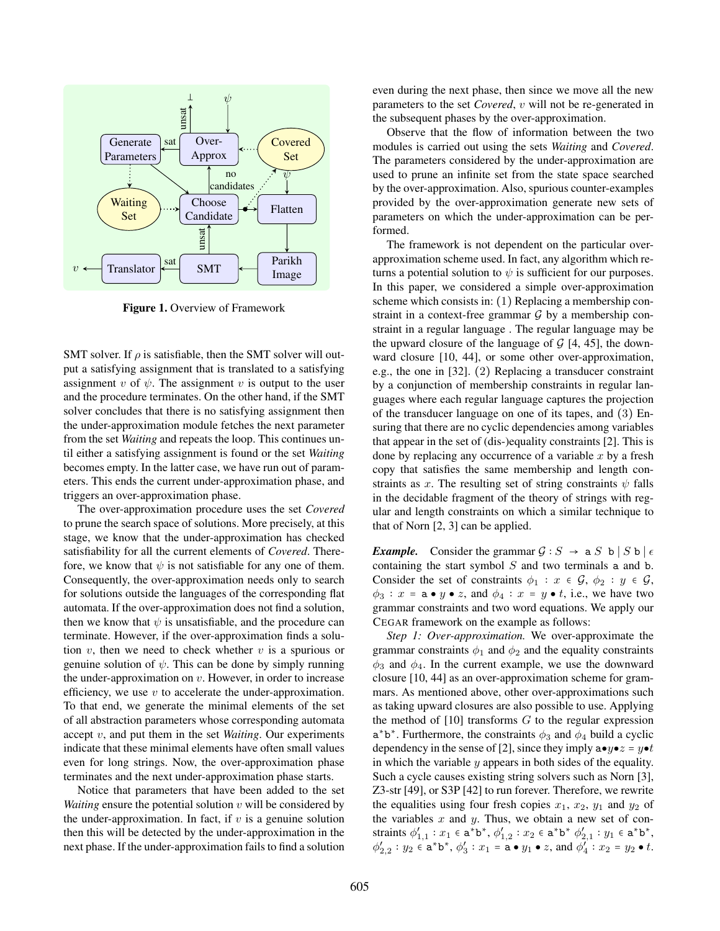

Figure 1. Overview of Framework

SMT solver. If  $\rho$  is satisfiable, then the SMT solver will output a satisfying assignment that is translated to a satisfying assignment v of  $\psi$ . The assignment v is output to the user and the procedure terminates. On the other hand, if the SMT solver concludes that there is no satisfying assignment then the under-approximation module fetches the next parameter from the set *Waiting* and repeats the loop. This continues until either a satisfying assignment is found or the set *Waiting* becomes empty. In the latter case, we have run out of parameters. This ends the current under-approximation phase, and triggers an over-approximation phase.

The over-approximation procedure uses the set *Covered* to prune the search space of solutions. More precisely, at this stage, we know that the under-approximation has checked satisfiability for all the current elements of *Covered*. Therefore, we know that  $\psi$  is not satisfiable for any one of them. Consequently, the over-approximation needs only to search for solutions outside the languages of the corresponding flat automata. If the over-approximation does not find a solution, then we know that  $\psi$  is unsatisfiable, and the procedure can terminate. However, if the over-approximation finds a solution  $v$ , then we need to check whether  $v$  is a spurious or genuine solution of  $\psi$ . This can be done by simply running the under-approximation on  $v$ . However, in order to increase efficiency, we use  $v$  to accelerate the under-approximation. To that end, we generate the minimal elements of the set of all abstraction parameters whose corresponding automata accept v, and put them in the set *Waiting*. Our experiments indicate that these minimal elements have often small values even for long strings. Now, the over-approximation phase terminates and the next under-approximation phase starts.

Notice that parameters that have been added to the set *Waiting* ensure the potential solution  $v$  will be considered by the under-approximation. In fact, if  $v$  is a genuine solution then this will be detected by the under-approximation in the next phase. If the under-approximation fails to find a solution

even during the next phase, then since we move all the new parameters to the set *Covered*, v will not be re-generated in the subsequent phases by the over-approximation.

Observe that the flow of information between the two modules is carried out using the sets *Waiting* and *Covered*. The parameters considered by the under-approximation are used to prune an infinite set from the state space searched by the over-approximation. Also, spurious counter-examples provided by the over-approximation generate new sets of parameters on which the under-approximation can be performed.

The framework is not dependent on the particular overapproximation scheme used. In fact, any algorithm which returns a potential solution to  $\psi$  is sufficient for our purposes. In this paper, we considered a simple over-approximation scheme which consists in: (1) Replacing a membership constraint in a context-free grammar  $G$  by a membership constraint in a regular language . The regular language may be the upward closure of the language of  $G$  [4, 45], the downward closure [10, 44], or some other over-approximation, e.g., the one in [32]. (2) Replacing a transducer constraint by a conjunction of membership constraints in regular languages where each regular language captures the projection of the transducer language on one of its tapes, and (3) Ensuring that there are no cyclic dependencies among variables that appear in the set of (dis-)equality constraints [2]. This is done by replacing any occurrence of a variable  $x$  by a fresh copy that satisfies the same membership and length constraints as x. The resulting set of string constraints  $\psi$  falls in the decidable fragment of the theory of strings with regular and length constraints on which a similar technique to that of Norn [2, 3] can be applied.

*Example.* Consider the grammar  $G : S \rightarrow a S b | S b | \epsilon$ containing the start symbol  $S$  and two terminals a and b. Consider the set of constraints  $\phi_1 : x \in \mathcal{G}, \phi_2 : y \in \mathcal{G},$  $\phi_3$ :  $x = a \bullet y \bullet z$ , and  $\phi_4$ :  $x = y \bullet t$ , i.e., we have two grammar constraints and two word equations. We apply our CEGAR framework on the example as follows:

*Step 1: Over-approximation.* We over-approximate the grammar constraints  $\phi_1$  and  $\phi_2$  and the equality constraints  $\phi_3$  and  $\phi_4$ . In the current example, we use the downward closure [10, 44] as an over-approximation scheme for grammars. As mentioned above, other over-approximations such as taking upward closures are also possible to use. Applying the method of  $[10]$  transforms G to the regular expression  $a^*b^*$ . Furthermore, the constraints  $\phi_3$  and  $\phi_4$  build a cyclic dependency in the sense of [2], since they imply  $a \bullet y \bullet z = y \bullet t$ in which the variable  $y$  appears in both sides of the equality. Such a cycle causes existing string solvers such as Norn [3], Z3-str [49], or S3P [42] to run forever. Therefore, we rewrite the equalities using four fresh copies  $x_1, x_2, y_1$  and  $y_2$  of the variables  $x$  and  $y$ . Thus, we obtain a new set of constraints  $\phi'_{1,1} : x_1 \in \mathbf{a}^* \mathbf{b}^*, \, \phi'_{1,2} : x_2 \in \mathbf{a}^* \mathbf{b}^* \, \phi'_{2,1} : y_1 \in \mathbf{a}^* \mathbf{b}^*,$  $\phi'_{2,2} : y_2 \in \mathbf{a}^* \mathbf{b}^*, \, \phi'_3 : x_1 = \mathbf{a} \bullet y_1 \bullet z$ , and  $\phi'_4 : x_2 = y_2 \bullet t$ .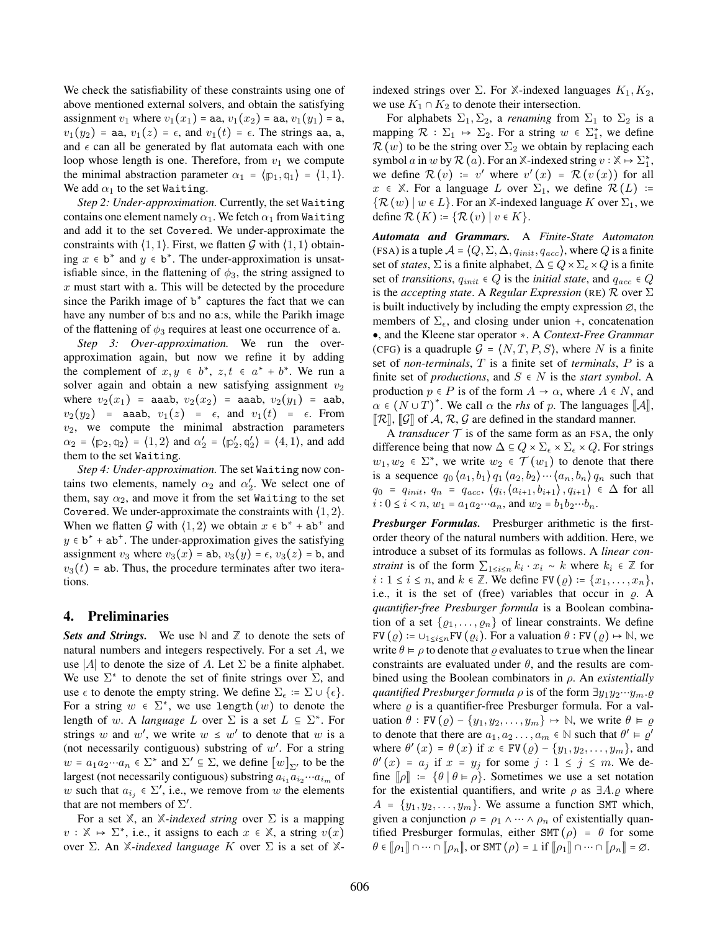We check the satisfiability of these constraints using one of above mentioned external solvers, and obtain the satisfying assignment  $v_1$  where  $v_1(x_1)$  = aa,  $v_1(x_2)$  = aa,  $v_1(y_1)$  = a,  $v_1(y_2)$  = aa,  $v_1(z)$  =  $\epsilon$ , and  $v_1(t)$  =  $\epsilon$ . The strings aa, a, and  $\epsilon$  can all be generated by flat automata each with one loop whose length is one. Therefore, from  $v_1$  we compute the minimal abstraction parameter  $\alpha_1 = \langle p_1, q_1 \rangle = \langle 1, 1 \rangle$ . We add  $\alpha_1$  to the set Waiting.

*Step 2: Under-approximation.* Currently, the set Waiting contains one element namely  $\alpha_1$ . We fetch  $\alpha_1$  from Waiting and add it to the set Covered. We under-approximate the constraints with  $(1, 1)$ . First, we flatten G with  $(1, 1)$  obtaining  $x \in b^*$  and  $y \in b^*$ . The under-approximation is unsatisfiable since, in the flattening of  $\phi_3$ , the string assigned to  $x$  must start with a. This will be detected by the procedure since the Parikh image of  $b^*$  captures the fact that we can have any number of b:s and no a:s, while the Parikh image of the flattening of  $\phi_3$  requires at least one occurrence of a.

*Step 3: Over-approximation.* We run the overapproximation again, but now we refine it by adding the complement of  $x, y \in b^*$ ,  $z, t \in a^* + b^*$ . We run a solver again and obtain a new satisfying assignment  $v_2$ where  $v_2(x_1)$  = aaab,  $v_2(x_2)$  = aaab,  $v_2(y_1)$  = aab,  $v_2(y_2)$  = aaab,  $v_1(z)$  =  $\epsilon$ , and  $v_1(t)$  =  $\epsilon$ . From  $v_2$ , we compute the minimal abstraction parameters  $\alpha_2 = \langle \mathbb{p}_2, \mathbb{q}_2 \rangle = \langle 1, 2 \rangle$  and  $\alpha_2' = \langle \mathbb{p}_2', \mathbb{q}_2' \rangle = \langle 4, 1 \rangle$ , and add them to the set Waiting.

*Step 4: Under-approximation.* The set Waiting now contains two elements, namely  $\alpha_2$  and  $\alpha'_2$ . We select one of them, say  $\alpha_2$ , and move it from the set Waiting to the set Covered. We under-approximate the constraints with ⟨1, 2⟩. When we flatten G with  $\langle 1, 2 \rangle$  we obtain  $x \in b^* + ab^+$  and  $y \in b^* + ab^+$ . The under-approximation gives the satisfying assignment  $v_3$  where  $v_3(x) = ab$ ,  $v_3(y) = \epsilon$ ,  $v_3(z) = b$ , and  $v_3(t)$  = ab. Thus, the procedure terminates after two iterations.

# 4. Preliminaries

*Sets and Strings.* We use **N** and **Z** to denote the sets of natural numbers and integers respectively. For a set A, we use |A| to denote the size of A. Let  $\Sigma$  be a finite alphabet. We use  $\Sigma^*$  to denote the set of finite strings over  $\Sigma$ , and use  $\epsilon$  to denote the empty string. We define  $\Sigma_{\epsilon} := \Sigma \cup \{\epsilon\}.$ For a string  $w \in \Sigma^*$ , we use length  $(w)$  to denote the length of w. A *language* L over  $\Sigma$  is a set  $L \subseteq \Sigma^*$ . For strings w and w', we write  $w \leq w'$  to denote that w is a (not necessarily contiguous) substring of  $w'$ . For a string  $w = a_1 a_2 \cdots a_n \in \Sigma^*$  and  $\Sigma' \subseteq \Sigma$ , we define  $[w]_{\Sigma'}$  to be the largest (not necessarily contiguous) substring  $a_{i1} a_{i2} ... a_{i_m}$  of w such that  $a_{i_j} \in \Sigma'$ , i.e., we remove from w the elements that are not members of  $\Sigma'$ .

For a set  $\mathbb{X}$ , an  $\mathbb{X}$ *-indexed string* over  $\Sigma$  is a mapping  $v : \mathbb{X} \mapsto \Sigma^*$ , i.e., it assigns to each  $x \in \mathbb{X}$ , a string  $v(x)$ over Σ. An **X***-indexed language* K over Σ is a set of **X**-

indexed strings over  $\Sigma$ . For *X*-indexed languages  $K_1, K_2$ , we use  $K_1 \cap K_2$  to denote their intersection.

For alphabets  $\Sigma_1, \Sigma_2$ , a *renaming* from  $\Sigma_1$  to  $\Sigma_2$  is a mapping  $\mathcal{R} : \Sigma_1 \mapsto \Sigma_2$ . For a string  $w \in \Sigma_1^*$ , we define  $\mathcal{R}(w)$  to be the string over  $\Sigma_2$  we obtain by replacing each symbol a in w by  $\mathcal{R}(a)$ . For an  $\mathbb{X}$ -indexed string  $v : \mathbb{X} \mapsto \Sigma_1^*$ , we define  $\mathcal{R}(v) := v'$  where  $v'(x) = \mathcal{R}(v(x))$  for all  $x \in \mathbb{X}$ . For a language L over  $\Sigma_1$ , we define  $\mathcal{R}(L)$  :=  $\{\mathcal{R}(w) \mid w \in L\}$ . For an *X*-indexed language K over  $\Sigma_1$ , we define  $\mathcal{R}(K) \coloneqq \{ \mathcal{R}(v) \mid v \in K \}.$ 

*Automata and Grammars.* A *Finite-State Automaton* (FSA) is a tuple  $A = \langle Q, \Sigma, \Delta, q_{init}, q_{acc} \rangle$ , where Q is a finite set of *states*,  $\Sigma$  is a finite alphabet,  $\Delta \subseteq Q \times \Sigma_{\epsilon} \times Q$  is a finite set of *transitions*,  $q_{init} \in Q$  is the *initial state*, and  $q_{acc} \in Q$ is the *accepting state*. A *Regular Expression* (RE) R over Σ is built inductively by including the empty expression  $\varnothing$ , the members of  $\Sigma_{\epsilon}$ , and closing under union +, concatenation ●, and the Kleene star operator ∗. A *Context-Free Grammar* (CFG) is a quadruple  $G = \langle N, T, P, S \rangle$ , where N is a finite set of *non-terminals*, T is a finite set of *terminals*, P is a finite set of *productions*, and  $S \in N$  is the *start symbol*. A production  $p \in P$  is of the form  $A \to \alpha$ , where  $A \in N$ , and  $\alpha \in (N \cup T)^*$ . We call  $\alpha$  the *rhs* of p. The languages  $[\mathcal{A}],$  $\lbrack\!\lbrack \mathcal{R} \rbrack\!\rbrack$ ,  $\lbrack\!\lbrack \mathcal{G} \rbrack\!\rbrack$  of A, R, G are defined in the standard manner.

A *transducer*  $T$  is of the same form as an FSA, the only difference being that now  $\Delta \subseteq Q \times \Sigma_{\epsilon} \times \Sigma_{\epsilon} \times Q$ . For strings  $w_1, w_2 \in \Sigma^*$ , we write  $w_2 \in \mathcal{T}(w_1)$  to denote that there is a sequence  $q_0 \langle a_1, b_1 \rangle q_1 \langle a_2, b_2 \rangle \cdots \langle a_n, b_n \rangle q_n$  such that  $q_0 = q_{init}, q_n = q_{acc}, \langle q_i, \langle a_{i+1}, b_{i+1} \rangle, q_{i+1} \rangle \in \Delta$  for all  $i: 0 \leq i < n, w_1 = a_1 a_2 \cdots a_n$ , and  $w_2 = b_1 b_2 \cdots b_n$ .

*Presburger Formulas.* Presburger arithmetic is the firstorder theory of the natural numbers with addition. Here, we introduce a subset of its formulas as follows. A *linear constraint* is of the form  $\sum_{1 \leq i \leq n} k_i \cdot x_i \sim k$  where  $k_i \in \mathbb{Z}$  for *i* : 1 ≤ *i* ≤ *n*, and  $k \in \mathbb{Z}$ . We define FV  $(\varrho) := \{x_1, \ldots, x_n\},\$ i.e., it is the set of (free) variables that occur in  $\rho$ . A *quantifier-free Presburger formula* is a Boolean combination of a set  $\{ \varrho_1, \ldots, \varrho_n \}$  of linear constraints. We define  $FV(\varrho) := \bigcup_{1 \leq i \leq n} FV(\varrho_i)$ . For a valuation  $\theta : FV(\varrho) \mapsto \mathbb{N}$ , we write  $\theta \models \rho$  to denote that  $\rho$  evaluates to true when the linear constraints are evaluated under  $\theta$ , and the results are combined using the Boolean combinators in ρ. An *existentially quantified Presburger formula*  $\rho$  is of the form  $\exists y_1 y_2 \cdots y_m$ .  $\varrho$ where  $\rho$  is a quantifier-free Presburger formula. For a valuation  $\theta$  : FV  $(\varrho)$  –  $\{y_1, y_2, \ldots, y_m\}$   $\mapsto \mathbb{N}$ , we write  $\theta \vDash \varrho$ to denote that there are  $a_1, a_2, \ldots, a_m \in \mathbb{N}$  such that  $\theta' \vDash \varrho'$ where  $\theta'(x) = \theta(x)$  if  $x \in FV(\varrho) - \{y_1, y_2, \ldots, y_m\}$ , and  $\theta'(x) = a_j$  if  $x = y_j$  for some  $j : 1 \le j \le m$ . We define  $\llbracket \rho \rrbracket := \{ \theta \mid \theta \models \rho \}$ . Sometimes we use a set notation for the existential quantifiers, and write  $\rho$  as  $\exists A.\rho$  where  $A = \{y_1, y_2, \dots, y_m\}$ . We assume a function SMT which, given a conjunction  $\rho = \rho_1 \wedge \cdots \wedge \rho_n$  of existentially quantified Presburger formulas, either SMT ( $\rho$ ) =  $\theta$  for some  $\theta \in [\![\rho_1]\!] \cap \cdots \cap [\![\rho_n]\!]$ , or SMT  $(\rho) = \bot$  if  $[\![\rho_1]\!] \cap \cdots \cap [\![\rho_n]\!] = \varnothing$ .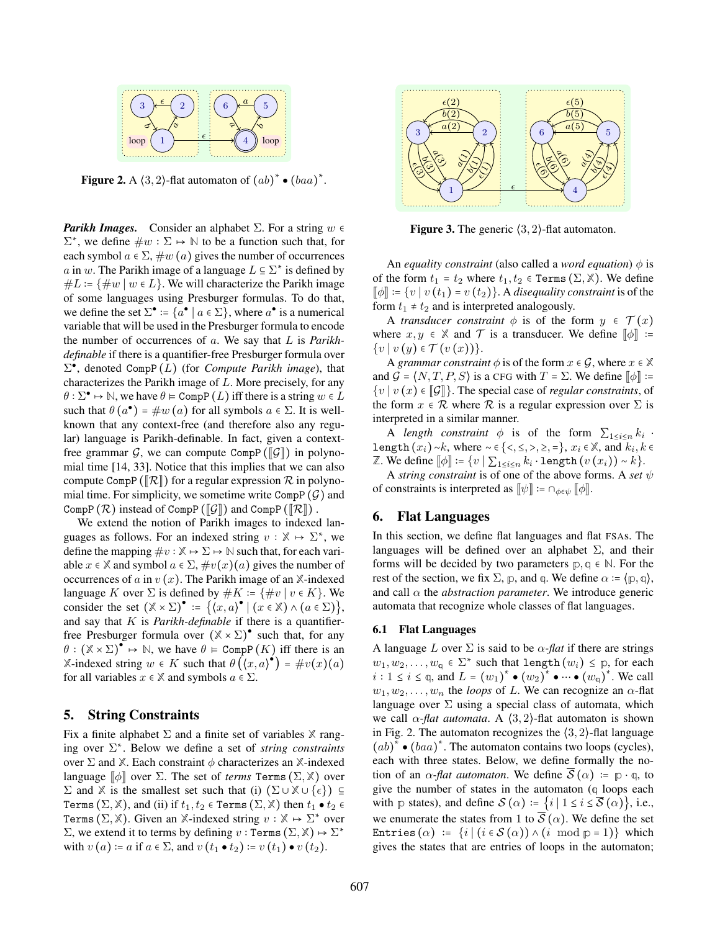

**Figure 2.** A  $\langle 3, 2 \rangle$ -flat automaton of  $(ab)^* \bullet (baa)^*$ .

*Parikh Images.* Consider an alphabet  $\Sigma$ . For a string  $w \in \mathbb{R}$  $\Sigma^*$ , we define  $\#w : \Sigma \mapsto \mathbb{N}$  to be a function such that, for each symbol  $a \in \Sigma$ ,  $\#w(a)$  gives the number of occurrences a in w. The Parikh image of a language  $L \subseteq \Sigma^*$  is defined by  $#L := \{#w \mid w \in L\}.$  We will characterize the Parikh image of some languages using Presburger formulas. To do that, we define the set  $\Sigma^{\bullet} := \{a^{\bullet} \mid a \in \Sigma\}$ , where  $a^{\bullet}$  is a numerical variable that will be used in the Presburger formula to encode the number of occurrences of a. We say that L is *Parikhdefinable* if there is a quantifier-free Presburger formula over  $\Sigma^{\bullet}$ , denoted CompP( $\overline{L}$ ) (for *Compute Parikh image*), that characterizes the Parikh image of L. More precisely, for any  $\theta$  :  $\Sigma^{\bullet} \mapsto \mathbb{N}$ , we have  $\theta \vDash \text{CompP}(L)$  iff there is a string  $w \in \overline{L}$ such that  $\theta(a^{\bullet}) = \#w(a)$  for all symbols  $a \in \Sigma$ . It is wellknown that any context-free (and therefore also any regular) language is Parikh-definable. In fact, given a contextfree grammar G, we can compute CompP ( $\llbracket \mathcal{G} \rrbracket$ ) in polynomial time [14, 33]. Notice that this implies that we can also compute CompP ( $\mathcal{R}$ ) for a regular expression  $\mathcal R$  in polynomial time. For simplicity, we sometime write CompP  $(\mathcal{G})$  and CompP  $(\mathcal{R})$  instead of CompP ( $\mathcal{G}$ ) and CompP ( $\mathcal{R}$ ).

We extend the notion of Parikh images to indexed languages as follows. For an indexed string  $v : \mathbb{X} \to \Sigma^*$ , we define the mapping  $\#v : \mathbb{X} \to \Sigma \to \mathbb{N}$  such that, for each variable  $x \in \mathbb{X}$  and symbol  $a \in \Sigma$ ,  $\#v(x)(a)$  gives the number of occurrences of a in  $v(x)$ . The Parikh image of an  $X$ -indexed language K over  $\Sigma$  is defined by  $#K = \{ \#v \mid v \in K \}$ . We consider the set  $(\mathbb{X} \times \Sigma)^{\bullet} := \{ (x, a)^{\bullet} \mid (x \in \mathbb{X}) \wedge (a \in \Sigma) \},$ and say that K is *Parikh-definable* if there is a quantifierfree Presburger formula over  $(\mathbb{X} \times \Sigma)$ <sup>•</sup> such that, for any  $\theta$  :  $(\mathbb{X} \times \Sigma)^{\bullet} \mapsto \mathbb{N}$ , we have  $\theta \models \text{CompP}(K)$  iff there is an  $\mathbb{X}$ -indexed string  $w \in K$  such that  $\theta\left(\langle x, a \rangle^{\bullet}\right) = \#v(x)(a)$ for all variables  $x \in \mathbb{X}$  and symbols  $a \in \Sigma$ .

### 5. String Constraints

Fix a finite alphabet Σ and a finite set of variables **X** ranging over Σ ∗ . Below we define a set of *string constraints* over  $\Sigma$  and  $\mathbb{X}$ . Each constraint  $\phi$  characterizes an  $\mathbb{X}$ -indexed language  $\llbracket \phi \rrbracket$  over  $\Sigma$ . The set of *terms* Terms  $(\Sigma, \mathbb{X})$  over Σ and *X* is the smallest set such that (i)  $(\Sigma \cup \mathbb{X} \cup {\epsilon})$  ⊆ Terms  $(\Sigma, \mathbb{X})$ , and (ii) if  $t_1, t_2 \in \text{Terms } (\Sigma, \mathbb{X})$  then  $t_1 \bullet t_2 \in$ Terms  $(\Sigma, \mathbb{X})$ . Given an  $\mathbb{X}$ -indexed string  $v : \mathbb{X} \mapsto \Sigma^*$  over  $\Sigma$ , we extend it to terms by defining  $v : \text{Terms } (\Sigma, \mathbb{X}) \mapsto \Sigma^*$ with  $v(a)$  := a if  $a \in \Sigma$ , and  $v(t_1 \bullet t_2)$  :=  $v(t_1) \bullet v(t_2)$ .



**Figure 3.** The generic  $(3, 2)$ -flat automaton.

An *equality constraint* (also called a *word equation*)  $\phi$  is of the form  $t_1 = t_2$  where  $t_1, t_2 \in \text{Terms } (\Sigma, \mathbb{X})$ . We define  $\llbracket \phi \rrbracket := \{v \mid v(t_1) = v(t_2)\}\.$  A *disequality constraint* is of the form  $t_1 \neq t_2$  and is interpreted analogously.

A *transducer constraint*  $\phi$  is of the form  $y \in \mathcal{T}(x)$ where  $x, y \in \mathbb{X}$  and  $\mathcal{T}$  is a transducer. We define  $[\![\phi]\!]$  :=  $\{v \mid v(y) \in \mathcal{T}(v(x))\}.$ 

A *grammar constraint*  $\phi$  is of the form  $x \in \mathcal{G}$ , where  $x \in \mathbb{X}$ and  $G = \langle N, T, P, S \rangle$  is a CFG with  $T = \Sigma$ . We define  $\llbracket \phi \rrbracket :=$  ${v | v(x) \in \llbracket \mathcal{G} \rrbracket}$ . The special case of *regular constraints*, of the form  $x \in \mathcal{R}$  where  $\mathcal{R}$  is a regular expression over  $\Sigma$  is interpreted in a similar manner.

A *length constraint*  $\phi$  is of the form  $\sum_{1 \leq i \leq n} k_i$ . length  $(x_i) \sim k$ , where  $\sim \in \{ \langle 1, 2, \rangle, 1 \rangle, 2, \dots \}$ ,  $x_i \in \mathbb{X}$ , and  $k_i, k \in \mathbb{Z}$ Z. We define  $[\![\phi]\!] \coloneqq \{v \mid \sum_{1 \leq i \leq n} k_i \cdot \texttt{length}\left(v\left(x_i\right)\right) \sim k\}.$ 

A *string constraint* is of one of the above forms. A *set* ψ of constraints is interpreted as  $\llbracket \psi \rrbracket := \bigcap_{\phi \in \psi} \llbracket \phi \rrbracket$ .

#### 6. Flat Languages

In this section, we define flat languages and flat FSAs. The languages will be defined over an alphabet  $\Sigma$ , and their forms will be decided by two parameters  $p, q \in \mathbb{N}$ . For the rest of the section, we fix  $\Sigma$ ,  $p$ , and  $q$ . We define  $\alpha := (p, q)$ , and call  $\alpha$  the *abstraction parameter*. We introduce generic automata that recognize whole classes of flat languages.

#### 6.1 Flat Languages

A language L over  $\Sigma$  is said to be  $\alpha$ -flat if there are strings  $w_1, w_2, \ldots, w_{\mathfrak{q}} \in \Sigma^*$  such that length  $(w_i) \leq \mathfrak{p}$ , for each  $i : 1 \le i \le \varphi$ , and  $L = (w_1)^* \bullet (w_2)^* \bullet \cdots \bullet (w_\varphi)^*$ . We call  $w_1, w_2, \ldots, w_n$  the *loops* of L. We can recognize an  $\alpha$ -flat language over  $\Sigma$  using a special class of automata, which we call  $\alpha$ -*flat automata*. A  $\langle 3, 2 \rangle$ -flat automaton is shown in Fig. 2. The automaton recognizes the  $(3, 2)$ -flat language  $(ab)^{*} \bullet (baa)^{*}$ . The automaton contains two loops (cycles), each with three states. Below, we define formally the notion of an  $\alpha$ -*flat automaton*. We define  $\overline{S}(\alpha) := p \cdot q$ , to give the number of states in the automaton (**q** loops each with **p** states), and define  $S(\alpha) = \{i \mid 1 \le i \le \overline{S}(\alpha)\}\)$ , i.e., we enumerate the states from 1 to  $\overline{S}(\alpha)$ . We define the set Entries  $(\alpha) := \{i \mid (i \in S(\alpha)) \wedge (i \mod p = 1)\}$  which gives the states that are entries of loops in the automaton;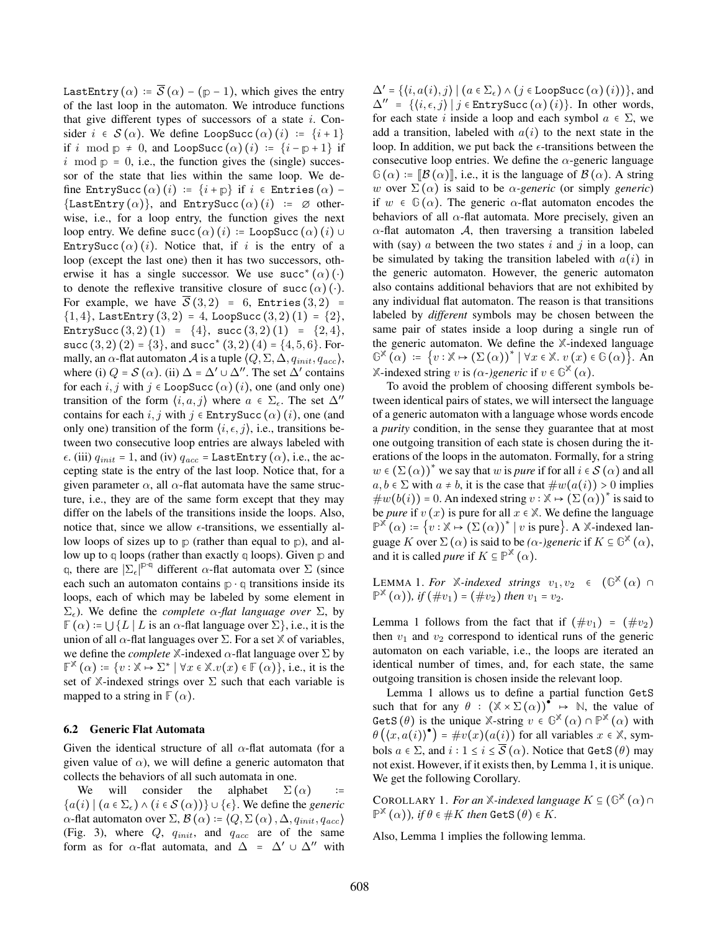LastEntry  $(\alpha) = \overline{S}(\alpha) - (p-1)$ , which gives the entry of the last loop in the automaton. We introduce functions that give different types of successors of a state  $i$ . Consider  $i \in S(\alpha)$ . We define LoopSucc  $(\alpha)(i) := \{i+1\}$ if i mod  $p \neq 0$ , and LoopSucc  $(\alpha)(i) := \{i - p + 1\}$  if  $i \mod p = 0$ , i.e., the function gives the (single) successor of the state that lies within the same loop. We define EntrySucc  $(\alpha)$  (i) :=  $\{i + \mathbb{p}\}\$ if  $i \in$  Entries  $(\alpha)$  -{LastEntry  $(\alpha)$ }, and EntrySucc  $(\alpha)$  (i) :=  $\emptyset$  otherwise, i.e., for a loop entry, the function gives the next loop entry. We define succ  $(\alpha)(i)$  := LoopSucc  $(\alpha)(i)$  ∪ EntrySucc  $(\alpha)$  (i). Notice that, if i is the entry of a loop (except the last one) then it has two successors, otherwise it has a single successor. We use  $succ^*(\alpha)(\cdot)$ to denote the reflexive transitive closure of succ  $(\alpha)$  (⋅). For example, we have  $\overline{S}(3,2) = 6$ , Entries  $(3,2) =$  $\{1,4\}$ , LastEntry  $(3,2) = 4$ , LoopSucc  $(3,2)(1) = \{2\}$ , EntrySucc  $(3, 2)$   $(1) = \{4\}$ , succ  $(3, 2)$   $(1) = \{2, 4\}$ , succ  $(3, 2)$   $(2) = \{3\}$ , and succ<sup>\*</sup>  $(3, 2)$   $(4) = \{4, 5, 6\}$ . Formally, an  $\alpha$ -flat automaton A is a tuple  $\langle Q, \Sigma, \Delta, q_{init}, q_{acc} \rangle$ , where (i)  $Q = S(\alpha)$ . (ii)  $\Delta = \Delta' \cup \Delta''$ . The set  $\Delta'$  contains for each i, j with j  $\in$  LoopSucc  $(\alpha)$  (i), one (and only one) transition of the form  $\langle i, a, j \rangle$  where  $a \in \Sigma_{\epsilon}$ . The set  $\Delta''$ contains for each i, j with  $j \in$  EntrySucc  $(\alpha)$   $(i)$ , one (and only one) transition of the form  $\langle i, \epsilon, j \rangle$ , i.e., transitions between two consecutive loop entries are always labeled with  $\epsilon$ . (iii)  $q_{init} = 1$ , and (iv)  $q_{acc} =$  LastEntry  $(\alpha)$ , i.e., the accepting state is the entry of the last loop. Notice that, for a given parameter  $\alpha$ , all  $\alpha$ -flat automata have the same structure, i.e., they are of the same form except that they may differ on the labels of the transitions inside the loops. Also, notice that, since we allow  $\epsilon$ -transitions, we essentially allow loops of sizes up to **p** (rather than equal to **p**), and allow up to **q** loops (rather than exactly **q** loops). Given **p** and q, there are  $|\Sigma_{\epsilon}|^{p\cdot q}$  different  $\alpha$ -flat automata over  $\Sigma$  (since each such an automaton contains **p** ⋅ **q** transitions inside its loops, each of which may be labeled by some element in  $\Sigma_{\epsilon}$ ). We define the *complete*  $\alpha$ -flat language over  $\Sigma$ , by  $\mathbb{F}(\alpha) = \bigcup \{ L | L$  is an  $\alpha$ -flat language over  $\Sigma \}$ , i.e., it is the union of all  $\alpha$ -flat languages over  $\Sigma$ . For a set  $\mathbb X$  of variables, we define the *complete*  $\mathbb{X}$ -indexed  $\alpha$ -flat language over  $\Sigma$  by  $\mathbb{F}^{\mathbb{X}}(\alpha) \coloneqq \{v : \mathbb{X} \mapsto \Sigma^* \mid \forall x \in \mathbb{X}.v(x) \in \mathbb{F}(\alpha)\},$  i.e., it is the set of  $X$ -indexed strings over  $\Sigma$  such that each variable is mapped to a string in  $\mathbb{F}(\alpha)$ .

#### 6.2 Generic Flat Automata

Given the identical structure of all  $\alpha$ -flat automata (for a given value of  $\alpha$ ), we will define a generic automaton that collects the behaviors of all such automata in one.

We will consider the alphabet  $\Sigma(\alpha)$  ${a(i) | (a ∈ Σ<sub>ε</sub>) ∧ (i ∈ S(α))} ∪ {ε}.$  We define the *generic*  $\alpha$ -flat automaton over  $\Sigma$ ,  $\mathcal{B}(\alpha) := \langle Q, \Sigma(\alpha), \Delta, q_{init}, q_{acc} \rangle$ (Fig. 3), where  $Q$ ,  $q_{init}$ , and  $q_{acc}$  are of the same form as for  $\alpha$ -flat automata, and  $\Delta = \Delta' \cup \Delta''$  with

 $\Delta' = \{ \langle i, a(i), j \rangle \mid (a \in \Sigma_{\epsilon}) \wedge (j \in \text{LoopSucc}(\alpha) (i)) \},$  and  $\Delta'' = \{(i, \epsilon, j) | j \in \text{EntrySucc}(\alpha) (i)\}.$  In other words, for each state i inside a loop and each symbol  $a \in \Sigma$ , we add a transition, labeled with  $a(i)$  to the next state in the loop. In addition, we put back the  $\epsilon$ -transitions between the consecutive loop entries. We define the  $\alpha$ -generic language  $\mathbb{G}(\alpha) = [\![\mathcal{B}(\alpha)]\!]$ , i.e., it is the language of  $\mathcal{B}(\alpha)$ . A string w over  $\Sigma(\alpha)$  is said to be  $\alpha$ -generic (or simply *generic*) if  $w \in \mathbb{G}(\alpha)$ . The generic  $\alpha$ -flat automaton encodes the behaviors of all  $\alpha$ -flat automata. More precisely, given an  $\alpha$ -flat automaton A, then traversing a transition labeled with (say)  $\alpha$  between the two states  $i$  and  $j$  in a loop, can be simulated by taking the transition labeled with  $a(i)$  in the generic automaton. However, the generic automaton also contains additional behaviors that are not exhibited by any individual flat automaton. The reason is that transitions labeled by *different* symbols may be chosen between the same pair of states inside a loop during a single run of the generic automaton. We define the **X**-indexed language  $\mathbb{G}^{\times}(\alpha) := \{v : \mathbb{X} \mapsto (\Sigma(\alpha))^* \mid \forall x \in \mathbb{X} \ldotp v(x) \in \mathbb{G}(\alpha)\}.$  An **X**-indexed string v is *(* $\alpha$ *-)generic* if  $v \in \mathbb{G}^{\mathbb{X}}(\alpha)$ .

To avoid the problem of choosing different symbols between identical pairs of states, we will intersect the language of a generic automaton with a language whose words encode a *purity* condition, in the sense they guarantee that at most one outgoing transition of each state is chosen during the iterations of the loops in the automaton. Formally, for a string  $w \in (\Sigma(\alpha))^{*}$  we say that w is *pure* if for all  $i \in S(\alpha)$  and all  $a, b \in \Sigma$  with  $a \neq b$ , it is the case that  $\#w(a(i)) > 0$  implies  $\#w(b(i)) = 0$ . An indexed string  $v : \mathbb{X} \mapsto (\Sigma(\alpha))^*$  is said to be *pure* if  $v(x)$  is pure for all  $x \in \mathbb{X}$ . We define the language  $\mathbb{P}^{\times}(\alpha) = \{v : \mathbb{X} \mapsto (\Sigma(\alpha))^* \mid v \text{ is pure}\}\$ . A  $\mathbb{X}\text{-indexed lan$ guage K over  $\Sigma(\alpha)$  is said to be  $(\alpha$ -)generic if  $K \subseteq \mathbb{G}^{\mathbb{X}}(\alpha)$ , and it is called *pure* if  $K \subseteq \mathbb{P}^{\mathbb{X}}(\alpha)$ .

LEMMA 1. For  $\mathbb{X}$ *-indexed strings*  $v_1, v_2 \in (\mathbb{G}^{\mathbb{X}}(\alpha) \cap \mathbb{X})$  $\mathbb{P}^{\mathbb{X}}(\alpha)$ *), if*  $(\text{\#}v_1) = (\text{\#}v_2)$  *then*  $v_1 = v_2$ *.* 

Lemma 1 follows from the fact that if  $(\#v_1) = (\#v_2)$ then  $v_1$  and  $v_2$  correspond to identical runs of the generic automaton on each variable, i.e., the loops are iterated an identical number of times, and, for each state, the same outgoing transition is chosen inside the relevant loop.

Lemma 1 allows us to define a partial function GetS such that for any  $\theta$  :  $(\mathbb{X} \times \Sigma(\alpha))^{\bullet} \rightarrow \mathbb{N}$ , the value of GetS  $(\theta)$  is the unique  $\mathbb{X}$ -string  $v \in \mathbb{G}^{\mathbb{X}}(\alpha) \cap \mathbb{P}^{\mathbb{X}}(\alpha)$  with  $\theta\left(\langle x, a(i) \rangle^{\bullet}\right) = \#v(x)(a(i))$  for all variables  $x \in \mathbb{X}$ , symbols  $a \in \Sigma$ , and  $i : 1 \le i \le \overline{S}(\alpha)$ . Notice that GetS  $(\theta)$  may not exist. However, if it exists then, by Lemma 1, it is unique. We get the following Corollary.

COROLLARY 1. *For an*  $\mathbb{X}$ *-indexed language*  $K \subseteq (\mathbb{G}^{\mathbb{X}}(\alpha) \cap \mathbb{G}^{\mathbb{X}})$  $\mathbb{P}^{\mathbb{X}}(\alpha)$ ), if  $\theta \in \#K$  then  $\textsf{GetS}(\theta) \in K$ .

Also, Lemma 1 implies the following lemma.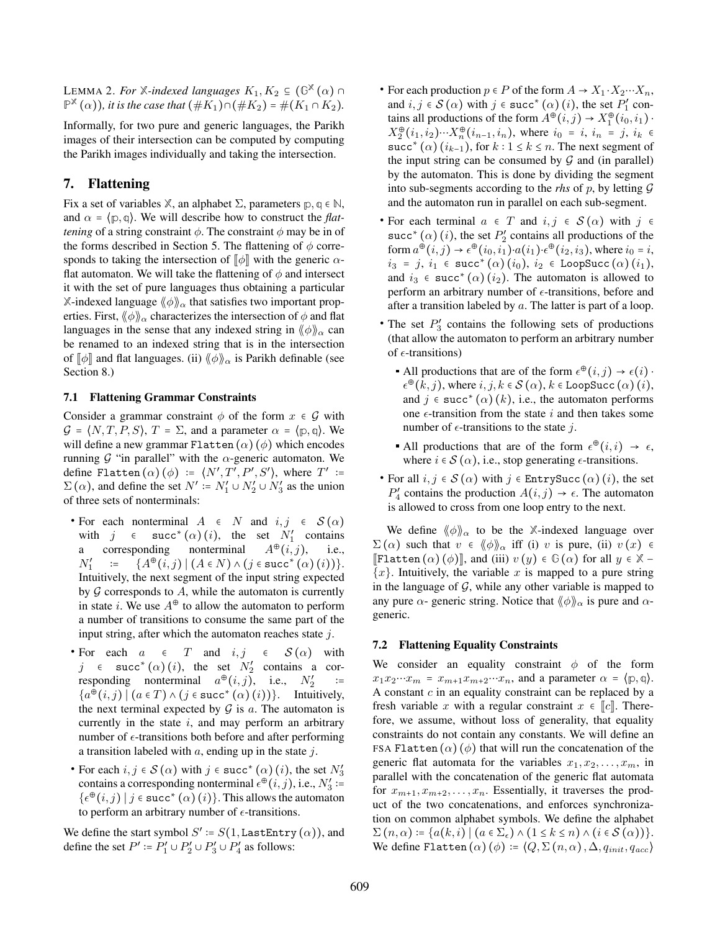LEMMA 2. For  $\mathbb{X}$ *-indexed languages*  $K_1, K_2 \subseteq (\mathbb{G}^{\mathbb{X}}(\alpha) \cap \mathbb{X})$  $\mathbb{P}^{\mathbb{X}}(\alpha)$ ), it is the case that  $(\#K_1) \cap (\#K_2) = \#(K_1 \cap K_2)$ .

Informally, for two pure and generic languages, the Parikh images of their intersection can be computed by computing the Parikh images individually and taking the intersection.

# 7. Flattening

Fix a set of variables  $X$ , an alphabet  $\Sigma$ , parameters  $p, q \in \mathbb{N}$ , and  $\alpha = \langle p, q \rangle$ . We will describe how to construct the *flattening* of a string constraint  $\phi$ . The constraint  $\phi$  may be in of the forms described in Section 5. The flattening of  $\phi$  corresponds to taking the intersection of  $\llbracket \phi \rrbracket$  with the generic  $\alpha$ flat automaton. We will take the flattening of  $\phi$  and intersect it with the set of pure languages thus obtaining a particular **X-indexed language**  $\langle \phi \rangle \rangle_{\alpha}$  **that satisfies two important prop**erties. First,  $\langle \phi \rangle \rangle_{\alpha}$  characterizes the intersection of  $\phi$  and flat languages in the sense that any indexed string in  $\langle \phi \rangle \rangle_{\alpha}$  can be renamed to an indexed string that is in the intersection of  $\llbracket \phi \rrbracket$  and flat languages. (ii)  $\langle \phi \rangle \rangle_{\alpha}$  is Parikh definable (see Section 8.)

#### 7.1 Flattening Grammar Constraints

Consider a grammar constraint  $\phi$  of the form  $x \in \mathcal{G}$  with  $\mathcal{G} = \langle N, T, P, S \rangle$ ,  $T = \Sigma$ , and a parameter  $\alpha = \langle p, q \rangle$ . We will define a new grammar Flatten  $(\alpha)$  ( $\phi$ ) which encodes running  $\mathcal G$  "in parallel" with the  $\alpha$ -generic automaton. We define Flatten  $(\alpha)$  ( $\phi$ ) :=  $\langle N', T', P', S' \rangle$ , where  $T'$  :=  $\Sigma(\alpha)$ , and define the set  $N' := N'_1 \cup N'_2 \cup N'_3$  as the union of three sets of nonterminals:

- For each nonterminal  $A \in N$  and  $i, j \in S(\alpha)$ with  $j \in succ^*(\alpha)(i)$ , the set  $N'_1$  contains a corresponding nonterminal  $A^{\oplus}(i, j)$ , i.e.,  $N_1'$  $:= \{A^{\oplus}(i,j) \mid (A \in N) \wedge (j \in \texttt{succ}^*(\alpha)(i))\}.$ Intuitively, the next segment of the input string expected by  $G$  corresponds to  $A$ , while the automaton is currently in state *i*. We use  $A^{\oplus}$  to allow the automaton to perform a number of transitions to consume the same part of the input string, after which the automaton reaches state  $j$ .
- For each  $a \in T$  and  $i, j \in S(\alpha)$  with j  $\in$  succ<sup>\*</sup> ( $\alpha$ ) (i), the set  $N'_2$  contains a corresponding nonterminal  $a^{\oplus}(i,j)$ , i.e.,  $N'_2$ ∶=  ${a^{\hat{\Phi}}(i,j) \mid (a \in T) \wedge (j \in succ^*(\alpha)(i)) }$ . Intuitively, the next terminal expected by  $G$  is  $a$ . The automaton is currently in the state  $i$ , and may perform an arbitrary number of  $\epsilon$ -transitions both before and after performing a transition labeled with  $a$ , ending up in the state  $j$ .
- For each  $i, j \in S(\alpha)$  with  $j \in \text{succ}^*(\alpha)$   $(i)$ , the set  $N'_3$ contains a corresponding nonterminal  $\epsilon^{\oplus}(i,j)$ , i.e.,  $N_3'$  :=  $\{\epsilon^{\oplus}(i,j) \mid j \in \text{succ}^*(\alpha)(i)\}.$  This allows the automaton to perform an arbitrary number of  $\epsilon$ -transitions.

We define the start symbol  $S' \coloneqq S(1, \texttt{LastEntry}(\alpha))$ , and define the set  $P' \coloneqq P'_1 \cup P'_2 \cup P'_3 \cup P'_4$  as follows:

- For each production  $p \in P$  of the form  $A \to X_1 \cdot X_2 \cdots X_n$ , and  $i, j \in S(\alpha)$  with  $j \in succ^*(\alpha)$   $(i)$ , the set  $P'_1$  contains all productions of the form  $A^{\oplus}(i,j) \to X_1^{\oplus}(i_0,i_1)$ .  $X_2^{\oplus}(i_1, i_2) \cdots X_n^{\oplus}(i_{n-1}, i_n)$ , where  $i_0 = i$ ,  $i_n = j$ ,  $i_k \in$ succ<sup>\*</sup> ( $\alpha$ ) ( $i_{k-1}$ ), for  $k: 1 \leq k \leq n$ . The next segment of the input string can be consumed by  $G$  and (in parallel) by the automaton. This is done by dividing the segment into sub-segments according to the *rhs* of  $p$ , by letting  $G$ and the automaton run in parallel on each sub-segment.
- For each terminal  $a \in T$  and  $i, j \in S(\alpha)$  with  $j \in$ succ<sup>\*</sup> ( $\alpha$ ) (*i*), the set  $P'_2$  contains all productions of the form  $a^{\oplus}(i, j) \rightarrow \epsilon^{\oplus}(i_0, i_1) \cdot a(i_1) \cdot \epsilon^{\oplus}(i_2, i_3)$ , where  $i_0 = i$ ,  $i_3$  = j,  $i_1$   $\in$  succ\*  $(\alpha)$   $(i_0),$   $i_2$   $\in$  LoopSucc  $(\alpha)$   $(i_1),$ and  $i_3 \in \text{succ}^*(\alpha)(i_2)$ . The automaton is allowed to perform an arbitrary number of  $\epsilon$ -transitions, before and after a transition labeled by a. The latter is part of a loop.
- The set  $P'_3$  contains the following sets of productions (that allow the automaton to perform an arbitrary number of  $\epsilon$ -transitions)
	- All productions that are of the form  $\epsilon^{\oplus}(i,j) \to \epsilon(i)$ .  $\epsilon^{\oplus}(\hat{k},j)$ , where  $i, j, k \in \mathcal{S}(\alpha)$ ,  $k \in \text{LoopSucc}(\alpha)(i)$ , and  $j \in \text{succ}^*(\alpha)(k)$ , i.e., the automaton performs one  $\epsilon$ -transition from the state i and then takes some number of  $\epsilon$ -transitions to the state j.
	- All productions that are of the form  $\epsilon^{\oplus}(i,i) \rightarrow \epsilon$ , where  $i \in S(\alpha)$ , i.e., stop generating  $\epsilon$ -transitions.
- For all  $i, j \in S(\alpha)$  with  $j \in$  EntrySucc  $(\alpha)$   $(i)$ , the set  $P'_4$  contains the production  $A(i, j) \rightarrow \epsilon$ . The automaton is allowed to cross from one loop entry to the next.

We define  $\langle \phi \rangle_{\alpha}$  to be the X-indexed language over  $\Sigma(\alpha)$  such that  $v \in \langle \phi \rangle \rangle_{\alpha}$  iff (i) v is pure, (ii)  $v(x) \in$  $\mathbb{F}$ latten  $(\alpha)$   $(\phi)$ , and (iii)  $v(y) \in \mathbb{G}(\alpha)$  for all  $y \in \mathbb{X}$  - ${x}$ . Intuitively, the variable x is mapped to a pure string in the language of  $G$ , while any other variable is mapped to any pure  $\alpha$ - generic string. Notice that  $\langle \phi \rangle \rangle_{\alpha}$  is pure and  $\alpha$ generic.

#### 7.2 Flattening Equality Constraints

We consider an equality constraint  $\phi$  of the form  $x_1x_2\cdots x_m = x_{m+1}x_{m+2}\cdots x_n$ , and a parameter  $\alpha = \{p, q\}.$ A constant  $c$  in an equality constraint can be replaced by a fresh variable x with a regular constraint  $x \in \llbracket c \rrbracket$ . Therefore, we assume, without loss of generality, that equality constraints do not contain any constants. We will define an FSA Flatten  $(\alpha)$  ( $\phi$ ) that will run the concatenation of the generic flat automata for the variables  $x_1, x_2, \ldots, x_m$ , in parallel with the concatenation of the generic flat automata for  $x_{m+1}, x_{m+2}, \ldots, x_n$ . Essentially, it traverses the product of the two concatenations, and enforces synchronization on common alphabet symbols. We define the alphabet  $\Sigma(n, \alpha) \coloneqq \{a(k, i) \mid (a \in \Sigma_{\epsilon}) \wedge (1 \leq k \leq n) \wedge (i \in \mathcal{S}(\alpha))\}.$ We define Flatten  $(\alpha)$  ( $\phi$ ) :=  $\langle Q, \Sigma(n, \alpha), \Delta, q_{init}, q_{acc} \rangle$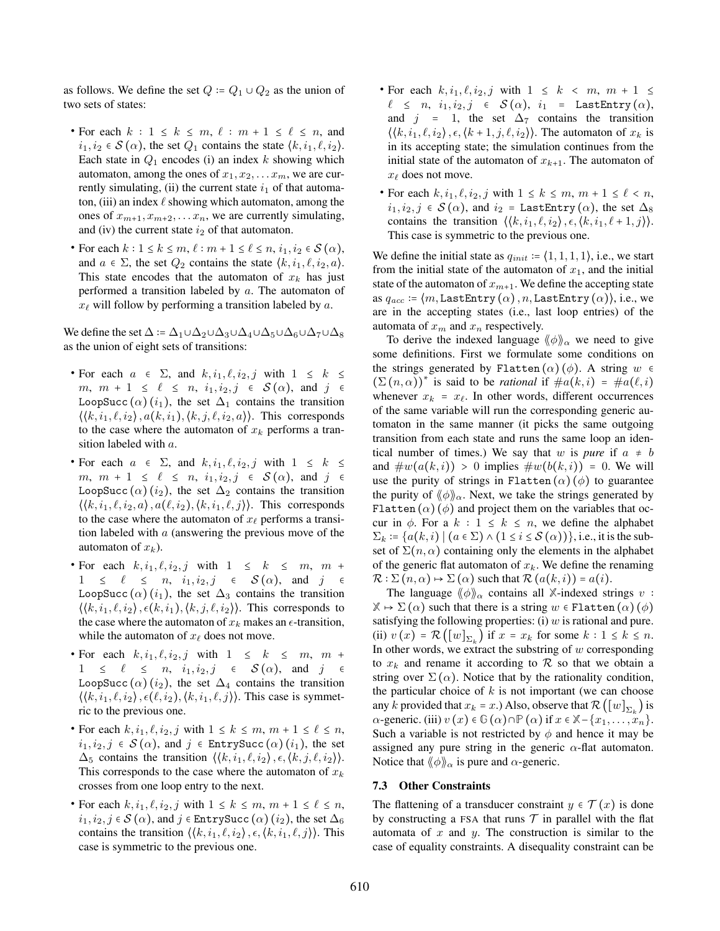as follows. We define the set  $Q = Q_1 \cup Q_2$  as the union of two sets of states:

- For each  $k: 1 \leq k \leq m, \ell: m+1 \leq \ell \leq n$ , and  $i_1, i_2 \in \mathcal{S}(\alpha)$ , the set  $Q_1$  contains the state  $\langle k, i_1, \ell, i_2 \rangle$ . Each state in  $Q_1$  encodes (i) an index k showing which automaton, among the ones of  $x_1, x_2, \ldots x_m$ , we are currently simulating, (ii) the current state  $i_1$  of that automaton, (iii) an index  $\ell$  showing which automaton, among the ones of  $x_{m+1}, x_{m+2}, \ldots, x_n$ , we are currently simulating, and (iv) the current state  $i_2$  of that automaton.
- For each  $k: 1 \leq k \leq m, \ell : m + 1 \leq \ell \leq n, i_1, i_2 \in \mathcal{S}(\alpha)$ , and  $a \in \Sigma$ , the set  $Q_2$  contains the state  $\langle k, i_1, \ell, i_2, a \rangle$ . This state encodes that the automaton of  $x_k$  has just performed a transition labeled by a. The automaton of  $x_{\ell}$  will follow by performing a transition labeled by a.

We define the set  $\Delta := \Delta_1 \cup \Delta_2 \cup \Delta_3 \cup \Delta_4 \cup \Delta_5 \cup \Delta_6 \cup \Delta_7 \cup \Delta_8$ as the union of eight sets of transitions:

- For each  $a \in \Sigma$ , and  $k, i_1, \ell, i_2, j$  with  $1 \leq k \leq$  $m, m + 1 \leq \ell \leq n, i_1, i_2, j \in \mathcal{S}(\alpha)$ , and  $j \in$ LoopSucc  $(\alpha)$   $(i_1)$ , the set  $\Delta_1$  contains the transition  $\langle \langle k, i_1, \ell, i_2 \rangle, a(k, i_1), \langle k, j, \ell, i_2, a \rangle \rangle$ . This corresponds to the case where the automaton of  $x_k$  performs a transition labeled with a.
- For each  $a \in \Sigma$ , and  $k, i_1, \ell, i_2, j$  with  $1 \leq k \leq$  $m, m + 1 \leq \ell \leq n, i_1, i_2, j \in \mathcal{S}(\alpha)$ , and  $j \in$ LoopSucc  $(\alpha)$  (i<sub>2</sub>), the set  $\Delta_2$  contains the transition  $\langle \langle k, i_1, \ell, i_2, a \rangle, a(\ell, i_2), \langle k, i_1, \ell, j \rangle \rangle$ . This corresponds to the case where the automaton of  $x_\ell$  performs a transition labeled with  $a$  (answering the previous move of the automaton of  $x_k$ ).
- For each  $k, i_1, \ell, i_2, j$  with  $1 \leq k \leq m, m +$  $1 \leq \ell \leq n, \ i_1, i_2, j \in \mathcal{S}(\alpha)$ , and  $j \in$ LoopSucc  $(\alpha)$   $(i_1)$ , the set  $\Delta_3$  contains the transition  $\langle \langle k, i_1, \ell, i_2 \rangle, \epsilon(k, i_1), \langle k, j, \ell, i_2 \rangle \rangle$ . This corresponds to the case where the automaton of  $x_k$  makes an  $\epsilon$ -transition, while the automaton of  $x_\ell$  does not move.
- For each  $k, i_1, \ell, i_2, j$  with  $1 \leq k \leq m, m +$  $1 \leq \ell \leq n, \ i_1, i_2, j \in \mathcal{S}(\alpha)$ , and j LoopSucc  $(\alpha)$  (i<sub>2</sub>), the set  $\Delta_4$  contains the transition  $\langle \langle k, i_1, \ell, i_2 \rangle, \epsilon(\ell, i_2), \langle k, i_1, \ell, j \rangle \rangle$ . This case is symmetric to the previous one.
- For each  $k, i_1, \ell, i_2, j$  with  $1 \leq k \leq m, m + 1 \leq \ell \leq n$ ,  $i_1, i_2, j \in \mathcal{S}(\alpha)$ , and  $j \in \text{EntrySucc}(\alpha)$   $(i_1)$ , the set  $\Delta_5$  contains the transition  $\langle \langle k, i_1, \ell, i_2 \rangle, \epsilon, \langle k, j, \ell, i_2 \rangle \rangle$ . This corresponds to the case where the automaton of  $x_k$ crosses from one loop entry to the next.
- For each  $k, i_1, \ell, i_2, j$  with  $1 \leq k \leq m, m + 1 \leq \ell \leq n$ ,  $i_1, i_2, j \in \mathcal{S}(\alpha)$ , and  $j \in \text{EntrySucc}(\alpha)$   $(i_2)$ , the set  $\Delta_6$ contains the transition  $\langle \langle k, i_1, \ell, i_2 \rangle, \epsilon, \langle k, i_1, \ell, j \rangle \rangle$ . This case is symmetric to the previous one.
- For each  $k, i_1, \ell, i_2, j$  with  $1 \leq k \leq m, m + 1 \leq$  $\ell$   $\leq$   $n,$   $i_1, i_2, j$   $\in$   $\mathcal{S}(\alpha),$   $i_1$  = LastEntry( $\alpha),$ and  $j = 1$ , the set  $\Delta_7$  contains the transition  $\langle \langle k, i_1, \ell, i_2 \rangle, \epsilon, \langle k+1, j, \ell, i_2 \rangle \rangle$ . The automaton of  $x_k$  is in its accepting state; the simulation continues from the initial state of the automaton of  $x_{k+1}$ . The automaton of  $x_\ell$  does not move.
- For each  $k, i_1, \ell, i_2, j$  with  $1 \leq k \leq m, m + 1 \leq \ell < n$ ,  $i_1, i_2, j \in \mathcal{S}(\alpha)$ , and  $i_2 =$  LastEntry  $(\alpha)$ , the set  $\Delta_8$ contains the transition  $\langle \langle k, i_1, \ell, i_2 \rangle, \epsilon, \langle k, i_1, \ell + 1, j \rangle \rangle$ . This case is symmetric to the previous one.

We define the initial state as  $q_{init} := (1, 1, 1, 1)$ , i.e., we start from the initial state of the automaton of  $x_1$ , and the initial state of the automaton of  $x_{m+1}$ . We define the accepting state as  $q_{acc}$  :=  $\langle m,$  LastEntry  $(\alpha)$ ,  $n$ , LastEntry  $(\alpha)$ ), i.e., we are in the accepting states (i.e., last loop entries) of the automata of  $x_m$  and  $x_n$  respectively.

To derive the indexed language  $\langle \phi \rangle \rangle_{\alpha}$  we need to give some definitions. First we formulate some conditions on the strings generated by Flatten  $(\alpha)$  ( $\phi$ ). A string w  $\epsilon$  $(\Sigma(n, \alpha))^*$  is said to be *rational* if  $\#a(k, i) = \#a(\ell, i)$ whenever  $x_k = x_\ell$ . In other words, different occurrences of the same variable will run the corresponding generic automaton in the same manner (it picks the same outgoing transition from each state and runs the same loop an identical number of times.) We say that w is *pure* if  $a \neq b$ and  $\#w(a(k, i)) > 0$  implies  $\#w(b(k, i)) = 0$ . We will use the purity of strings in Flatten  $(\alpha)$  ( $\phi$ ) to guarantee the purity of  $\langle \phi \rangle \rangle_{\alpha}$ . Next, we take the strings generated by Flatten  $(\alpha)$  ( $\phi$ ) and project them on the variables that occur in  $\phi$ . For a  $k : 1 \leq k \leq n$ , we define the alphabet  $\Sigma_k$  :=  $\{a(k,i) \mid (a \in \Sigma) \wedge (1 \le i \le S(\alpha))\}$ , i.e., it is the subset of  $\Sigma(n, \alpha)$  containing only the elements in the alphabet of the generic flat automaton of  $x_k$ . We define the renaming  $\mathcal{R}$ :  $\Sigma(n, \alpha) \mapsto \Sigma(\alpha)$  such that  $\mathcal{R}(a(k, i)) = a(i)$ .

The language  $\langle \phi \rangle_{\alpha}$  contains all *X*-indexed strings v:  $\mathbb{X} \mapsto \Sigma(\alpha)$  such that there is a string  $w \in \text{Flatten}(\alpha)$  ( $\phi$ ) satisfying the following properties: (i)  $w$  is rational and pure. (ii)  $v(x) = \mathcal{R}([w]_{\Sigma_k})$  if  $x = x_k$  for some  $k : 1 \le k \le n$ . In other words, we extract the substring of  $w$  corresponding to  $x_k$  and rename it according to R so that we obtain a string over  $\Sigma(\alpha)$ . Notice that by the rationality condition, the particular choice of  $k$  is not important (we can choose any k provided that  $x_k = x$ .) Also, observe that  $\mathcal{R}([w]_{\Sigma_k})$  is  $\alpha$ -generic. (iii)  $v(x) \in \mathbb{G}(\alpha) \cap \mathbb{P}(\alpha)$  if  $x \in \mathbb{X} - \{x_1, \ldots, x_n\}$ . Such a variable is not restricted by  $\phi$  and hence it may be assigned any pure string in the generic  $\alpha$ -flat automaton. Notice that  $\langle \phi \rangle_{\alpha}$  is pure and  $\alpha$ -generic.

#### 7.3 Other Constraints

The flattening of a transducer constraint  $y \in \mathcal{T}(x)$  is done by constructing a FSA that runs  $\mathcal T$  in parallel with the flat automata of  $x$  and  $y$ . The construction is similar to the case of equality constraints. A disequality constraint can be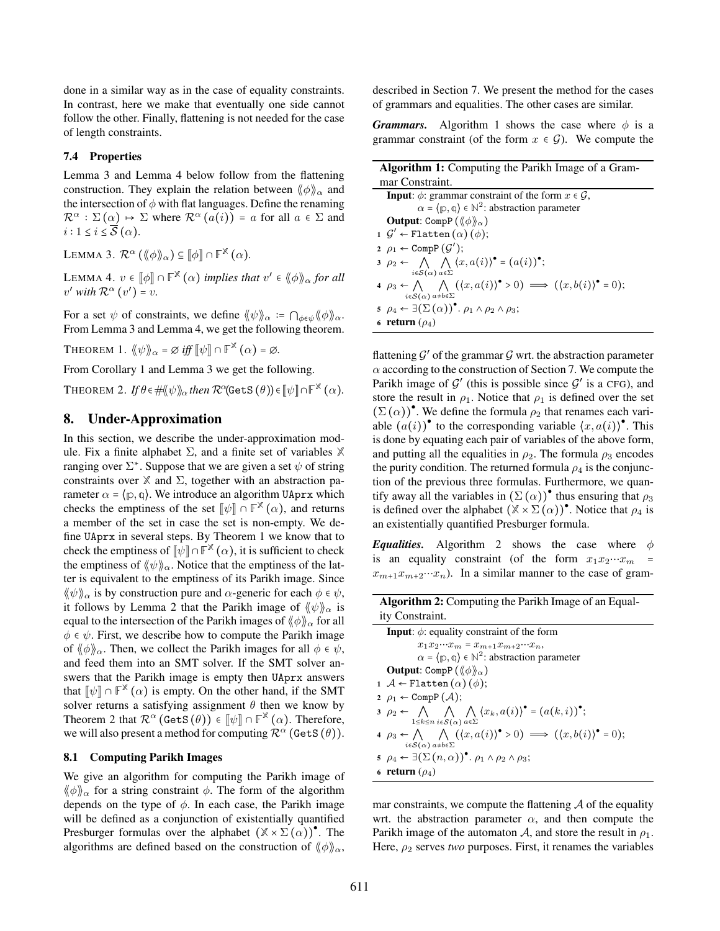done in a similar way as in the case of equality constraints. In contrast, here we make that eventually one side cannot follow the other. Finally, flattening is not needed for the case of length constraints.

#### 7.4 Properties

Lemma 3 and Lemma 4 below follow from the flattening construction. They explain the relation between  $\langle \phi \rangle_{\alpha}$  and the intersection of  $\phi$  with flat languages. Define the renaming  $\mathcal{R}^{\alpha} : \Sigma(\alpha) \mapsto \Sigma$  where  $\mathcal{R}^{\alpha}(a(i)) = a$  for all  $a \in \Sigma$  and  $i: 1 \leq i \leq \overline{\mathcal{S}}(\alpha)$ .

LEMMA 3.  $\mathcal{R}^{\alpha}(\langle\!\langle \phi \rangle\!\rangle_{\alpha}) \subseteq [\![\phi]\!] \cap \mathbb{F}^{\mathbb{X}}(\alpha)$ .

LEMMA 4.  $v \in [\![\phi]\!] \cap \mathbb{F}^{\mathbb{X}}(\alpha)$  *implies that*  $v' \in \langle \! \langle \phi \rangle \! \rangle_{\alpha}$  for all  $v'$  with  $\mathcal{R}^{\alpha}(v') = v$ .

For a set  $\psi$  of constraints, we define  $\langle \psi \rangle_{\alpha} := \bigcap_{\phi \in \psi} \langle \phi \rangle_{\alpha}$ . From Lemma 3 and Lemma 4, we get the following theorem.

THEOREM 1.  $\langle \! \langle \psi \rangle \! \rangle_{\alpha} = \varnothing$  *iff*  $\lbrack \! \lbrack \psi \rbrack \! \rbrack \cap \mathbb{F}^{\mathbb{X}}$   $(\alpha) = \varnothing$ .

From Corollary 1 and Lemma 3 we get the following.

 $\text{THEOREM 2.}$   $\textit{If } \theta \in \# \langle \! \langle \psi \rangle \! \rangle_{\alpha}$  then  $\mathcal{R}^{\alpha}(\texttt{GetS} \left( \theta \right)) \! \in \! \lbrack \! \lbrack \psi \rbrack \! \rbrack \cap \mathbb{F}^{\mathbb{X}} \left( \alpha \right) \! .$ 

#### 8. Under-Approximation

In this section, we describe the under-approximation module. Fix a finite alphabet Σ, and a finite set of variables **X** ranging over  $\Sigma^*$ . Suppose that we are given a set  $\psi$  of string constraints over  $X$  and  $\Sigma$ , together with an abstraction parameter  $\alpha = \langle p, q \rangle$ . We introduce an algorithm UAprx which checks the emptiness of the set  $\llbracket \psi \rrbracket \cap \mathbb{F}^{\mathbb{X}}(\alpha)$ , and returns a member of the set in case the set is non-empty. We define UAprx in several steps. By Theorem 1 we know that to check the emptiness of  $\llbracket \psi \rrbracket \cap \mathbb{F}^\mathbb{X}(\alpha)$ , it is sufficient to check the emptiness of  $\langle \psi \rangle_{\alpha}$ . Notice that the emptiness of the latter is equivalent to the emptiness of its Parikh image. Since  $\langle \psi \rangle_{\alpha}$  is by construction pure and  $\alpha$ -generic for each  $\phi \in \psi$ , it follows by Lemma 2 that the Parikh image of  $\langle \psi \rangle_{\alpha}$  is equal to the intersection of the Parikh images of  $\langle \phi \rangle_{\alpha}$  for all  $\phi \in \psi$ . First, we describe how to compute the Parikh image of  $\langle \phi \rangle_{\alpha}$ . Then, we collect the Parikh images for all  $\phi \in \psi$ , and feed them into an SMT solver. If the SMT solver answers that the Parikh image is empty then UAprx answers that  $[\![\psi]\!] \cap \mathbb{F}^{\mathbb{X}}(\alpha)$  is empty. On the other hand, if the SMT solver returns a satisfying assignment  $\theta$  then we know by Theorem 2 that  $\mathcal{R}^{\alpha}$  (GetS  $(\theta)$ )  $\in [\![\psi]\!] \cap \mathbb{F}^{\mathbb{X}}(\alpha)$ . Therefore, we will also present a method for computing  $\mathcal{R}^{\alpha}$  (GetS  $(\theta)$ ).

#### 8.1 Computing Parikh Images

We give an algorithm for computing the Parikh image of  $\langle \phi \rangle$ <sub>α</sub> for a string constraint  $\phi$ . The form of the algorithm depends on the type of  $\phi$ . In each case, the Parikh image will be defined as a conjunction of existentially quantified Presburger formulas over the alphabet  $(\mathbb{X} \times \Sigma(\alpha))^{\bullet}$ . The algorithms are defined based on the construction of  $\langle \phi \rangle \rangle_{\alpha}$ ,

described in Section 7. We present the method for the cases of grammars and equalities. The other cases are similar.

*Grammars.* Algorithm 1 shows the case where  $\phi$  is a grammar constraint (of the form  $x \in \mathcal{G}$ ). We compute the

| <b>Algorithm 1:</b> Computing the Parikh Image of a Gram-                                                                                                                   |  |  |  |  |  |  |
|-----------------------------------------------------------------------------------------------------------------------------------------------------------------------------|--|--|--|--|--|--|
| mar Constraint.                                                                                                                                                             |  |  |  |  |  |  |
| <b>Input:</b> $\phi$ : grammar constraint of the form $x \in \mathcal{G}$ ,                                                                                                 |  |  |  |  |  |  |
| $\alpha = \langle p, q \rangle \in \mathbb{N}^2$ : abstraction parameter                                                                                                    |  |  |  |  |  |  |
| <b>Output:</b> CompP ( $\langle \phi \rangle$ )                                                                                                                             |  |  |  |  |  |  |
| $1 \mathcal{G}' \leftarrow \text{Flatten}(\alpha) (\phi);$                                                                                                                  |  |  |  |  |  |  |
| 2 $\rho_1 \leftarrow \text{CompP}(G')$ ;                                                                                                                                    |  |  |  |  |  |  |
| $3 \rho_2 \leftarrow \bigwedge \bigwedge (x, a(i))^{\bullet} = (a(i))^{\bullet};$<br>$i\in\mathcal{S}(\alpha)$ $a\in\Sigma$                                                 |  |  |  |  |  |  |
| $\varphi_3 \leftarrow \bigwedge \quad (\langle x, a(i) \rangle^{\bullet} > 0) \implies (\langle x, b(i) \rangle^{\bullet} = 0);$<br>$i \in S(\alpha)$ $a \neq b \in \Sigma$ |  |  |  |  |  |  |
| 5 $\rho_4 \leftarrow \exists (\Sigma(\alpha))^{\bullet}$ . $\rho_1 \wedge \rho_2 \wedge \rho_3;$                                                                            |  |  |  |  |  |  |
| 6 return $(\rho_4)$                                                                                                                                                         |  |  |  |  |  |  |

flattening  $\mathcal{G}'$  of the grammar  $\mathcal{G}$  wrt. the abstraction parameter  $\alpha$  according to the construction of Section 7. We compute the Parikh image of  $\mathcal{G}'$  (this is possible since  $\mathcal{G}'$  is a CFG), and store the result in  $\rho_1$ . Notice that  $\rho_1$  is defined over the set  $(\Sigma(\alpha))^{\bullet}$ . We define the formula  $\rho_2$  that renames each variable  $(a(i))$ <sup>\*</sup> to the corresponding variable  $\langle x, a(i) \rangle$ <sup>\*</sup>. This is done by equating each pair of variables of the above form, and putting all the equalities in  $\rho_2$ . The formula  $\rho_3$  encodes the purity condition. The returned formula  $\rho_4$  is the conjunction of the previous three formulas. Furthermore, we quantify away all the variables in  $(\Sigma(\alpha))^{\bullet}$  thus ensuring that  $\rho_3$ is defined over the alphabet  $(\mathbb{X} \times \Sigma(\alpha))^{\bullet}$ . Notice that  $\rho_4$  is an existentially quantified Presburger formula.

*Equalities.* Algorithm 2 shows the case where  $\phi$ is an equality constraint (of the form  $x_1x_2\cdots x_m$  $x_{m+1}x_{m+2}\cdots x_n$ ). In a similar manner to the case of gram-

Algorithm 2: Computing the Parikh Image of an Equality Constraint.

mar constraints, we compute the flattening  $A$  of the equality wrt. the abstraction parameter  $\alpha$ , and then compute the Parikh image of the automaton A, and store the result in  $\rho_1$ . Here,  $\rho_2$  serves *two* purposes. First, it renames the variables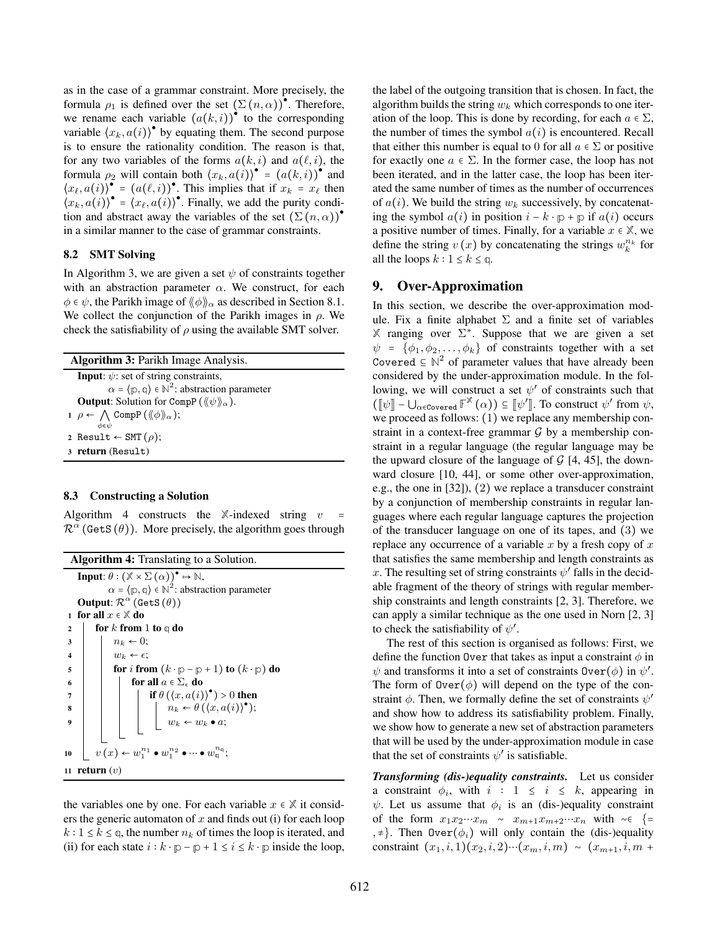as in the case of a grammar constraint. More precisely, the formula  $\rho_1$  is defined over the set  $(\Sigma(n,\alpha))^{\bullet}$ . Therefore, we rename each variable  $(a(k, i))^{\bullet}$  to the corresponding variable  $\langle x_k, a(i) \rangle^{\bullet}$  by equating them. The second purpose is to ensure the rationality condition. The reason is that, for any two variables of the forms  $a(k, i)$  and  $a(\ell, i)$ , the formula  $\rho_2$  will contain both  $\langle x_k, a(i) \rangle^{\bullet} = (a(k,i))^{\bullet}$  and  $\langle x_{\ell}, a(i) \rangle^{\bullet} = (a(\ell, i))^{\bullet}$ . This implies that if  $x_k = x_{\ell}$  then  $\langle x_k, a(i) \rangle^{\bullet} = \langle x_\ell, a(i) \rangle^{\bullet}$ . Finally, we add the purity condition and abstract away the variables of the set  $(\Sigma(n,\alpha))^{\bullet}$ in a similar manner to the case of grammar constraints.

#### 8.2 SMT Solving

In Algorithm 3, we are given a set  $\psi$  of constraints together with an abstraction parameter  $\alpha$ . We construct, for each  $\phi \in \psi$ , the Parikh image of  $\langle \phi \rangle_{\alpha}$  as described in Section 8.1. We collect the conjunction of the Parikh images in  $\rho$ . We check the satisfiability of  $\rho$  using the available SMT solver.

| <b>Algorithm 3: Parikh Image Analysis.</b> |                                                                                                       |  |  |  |  |  |  |
|--------------------------------------------|-------------------------------------------------------------------------------------------------------|--|--|--|--|--|--|
|                                            | <b>Input:</b> $\psi$ : set of string constraints,                                                     |  |  |  |  |  |  |
|                                            | $\alpha = \langle p, q \rangle \in \mathbb{N}^2$ : abstraction parameter                              |  |  |  |  |  |  |
|                                            | <b>Output:</b> Solution for CompP ( $\langle \langle \psi \rangle \rangle_{\alpha}$ ).                |  |  |  |  |  |  |
|                                            | $1 \rho \leftarrow \bigwedge \text{CompP}(\langle \phi \rangle \rangle_{\alpha});$<br>$\phi \in \psi$ |  |  |  |  |  |  |
|                                            | 2 Result $\leftarrow$ SMT $(\rho)$ ;                                                                  |  |  |  |  |  |  |
|                                            | 3 return (Result)                                                                                     |  |  |  |  |  |  |

#### 8.3 Constructing a Solution

Algorithm 4 constructs the  $\mathbb{X}$ -indexed string  $v =$  $\mathcal{R}^{\alpha}$  (GetS $(\theta)$ ). More precisely, the algorithm goes through

|                         | <b>Algorithm 4:</b> Translating to a Solution.                                                                                              |  |  |  |  |  |  |  |  |  |
|-------------------------|---------------------------------------------------------------------------------------------------------------------------------------------|--|--|--|--|--|--|--|--|--|
|                         | <b>Input:</b> $\theta$ : $(\mathbb{X} \times \Sigma(\alpha))^{\bullet} \mapsto \mathbb{N}$ ,                                                |  |  |  |  |  |  |  |  |  |
|                         | $\alpha = \langle p, q \rangle \in \mathbb{N}^2$ : abstraction parameter                                                                    |  |  |  |  |  |  |  |  |  |
|                         | <b>Output:</b> $\mathcal{R}^{\alpha}$ (GetS( $\theta$ ))                                                                                    |  |  |  |  |  |  |  |  |  |
| $\mathbf{1}$            | for all $x \in \mathbb{X}$ do                                                                                                               |  |  |  |  |  |  |  |  |  |
| $\mathbf{2}$            | for k from 1 to $q$ do                                                                                                                      |  |  |  |  |  |  |  |  |  |
| 3                       | $n_k \leftarrow 0$ ;                                                                                                                        |  |  |  |  |  |  |  |  |  |
| $\overline{\mathbf{4}}$ | $w_k \leftarrow \epsilon$ ;                                                                                                                 |  |  |  |  |  |  |  |  |  |
| 5                       | for i from $(k \cdot p - p + 1)$ to $(k \cdot p)$ do                                                                                        |  |  |  |  |  |  |  |  |  |
| 6                       | for all $a \in \Sigma_{\epsilon}$ do                                                                                                        |  |  |  |  |  |  |  |  |  |
| 7                       |                                                                                                                                             |  |  |  |  |  |  |  |  |  |
| 8                       |                                                                                                                                             |  |  |  |  |  |  |  |  |  |
| 9                       | if $\theta(\langle x, a(i))^{\bullet} > 0$ then<br>$n_k \leftarrow \theta(\langle x, a(i))^{\bullet}$ ;<br>$w_k \leftarrow w_k \bullet a$ ; |  |  |  |  |  |  |  |  |  |
|                         |                                                                                                                                             |  |  |  |  |  |  |  |  |  |
| 10                      | $v(x) \leftarrow w_1^{n_1} \bullet w_1^{n_2} \bullet \cdots \bullet w_0^{n_q};$                                                             |  |  |  |  |  |  |  |  |  |
|                         | 11 <b>return</b> $(v)$                                                                                                                      |  |  |  |  |  |  |  |  |  |

the variables one by one. For each variable  $x \in \mathbb{X}$  it considers the generic automaton of  $x$  and finds out (i) for each loop  $k: 1 \leq k \leq \mathfrak{q}$ , the number  $n_k$  of times the loop is iterated, and (ii) for each state  $i : k \cdot p - p + 1 \le i \le k \cdot p$  inside the loop,

the label of the outgoing transition that is chosen. In fact, the algorithm builds the string  $w_k$  which corresponds to one iteration of the loop. This is done by recording, for each  $a \in \Sigma$ , the number of times the symbol  $a(i)$  is encountered. Recall that either this number is equal to 0 for all  $a \in \Sigma$  or positive for exactly one  $a \in \Sigma$ . In the former case, the loop has not been iterated, and in the latter case, the loop has been iterated the same number of times as the number of occurrences of  $a(i)$ . We build the string  $w_k$  successively, by concatenating the symbol  $a(i)$  in position  $i - k \cdot p + p$  if  $a(i)$  occurs a positive number of times. Finally, for a variable  $x \in \mathbb{X}$ , we define the string  $v(x)$  by concatenating the strings  $w_k^{n_k}$  for all the loops  $k : 1 \leq k \leq \mathbb{q}$ .

## 9. Over-Approximation

In this section, we describe the over-approximation module. Fix a finite alphabet  $\Sigma$  and a finite set of variables X ranging over  $\Sigma^*$ . Suppose that we are given a set  $\psi = {\phi_1, \phi_2, \ldots, \phi_k}$  of constraints together with a set Covered  $\subseteq$  N<sup>2</sup> of parameter values that have already been considered by the under-approximation module. In the following, we will construct a set  $\psi'$  of constraints such that  $(\llbracket \psi \rrbracket - \bigcup_{\alpha \in \text{Covered}} \mathbb{F}^{\mathbb{X}}(\alpha)) \subseteq \llbracket \psi' \rrbracket$ . To construct  $\psi'$  from  $\psi$ , we proceed as follows: (1) we replace any membership constraint in a context-free grammar  $G$  by a membership constraint in a regular language (the regular language may be the upward closure of the language of  $G$  [4, 45], the downward closure [10, 44], or some other over-approximation, e.g., the one in [32]), (2) we replace a transducer constraint by a conjunction of membership constraints in regular languages where each regular language captures the projection of the transducer language on one of its tapes, and (3) we replace any occurrence of a variable x by a fresh copy of  $x$ that satisfies the same membership and length constraints as x. The resulting set of string constraints  $\psi'$  falls in the decidable fragment of the theory of strings with regular membership constraints and length constraints [2, 3]. Therefore, we can apply a similar technique as the one used in Norn [2, 3] to check the satisfiability of  $\psi'$ .

The rest of this section is organised as follows: First, we define the function Over that takes as input a constraint  $\phi$  in  $\psi$  and transforms it into a set of constraints 0ver( $\phi$ ) in  $\psi'$ . The form of  $\text{Over}(\phi)$  will depend on the type of the constraint  $\phi$ . Then, we formally define the set of constraints  $\psi'$ and show how to address its satisfiability problem. Finally, we show how to generate a new set of abstraction parameters that will be used by the under-approximation module in case that the set of constraints  $\psi'$  is satisfiable.

*Transforming (dis-)equality constraints.* Let us consider a constraint  $\phi_i$ , with  $i : 1 \leq i \leq k$ , appearing in  $\psi$ . Let us assume that  $\phi_i$  is an (dis-)equality constraint of the form  $x_1x_2\cdots x_m$  ∼  $x_{m+1}x_{m+2}\cdots x_n$  with ~∈ {=  $, \neq$ . Then Over $(\phi_i)$  will only contain the (dis-)equality constraint  $(x_1, i, 1)(x_2, i, 2)$ … $(x_m, i, m) \sim (x_{m+1}, i, m +$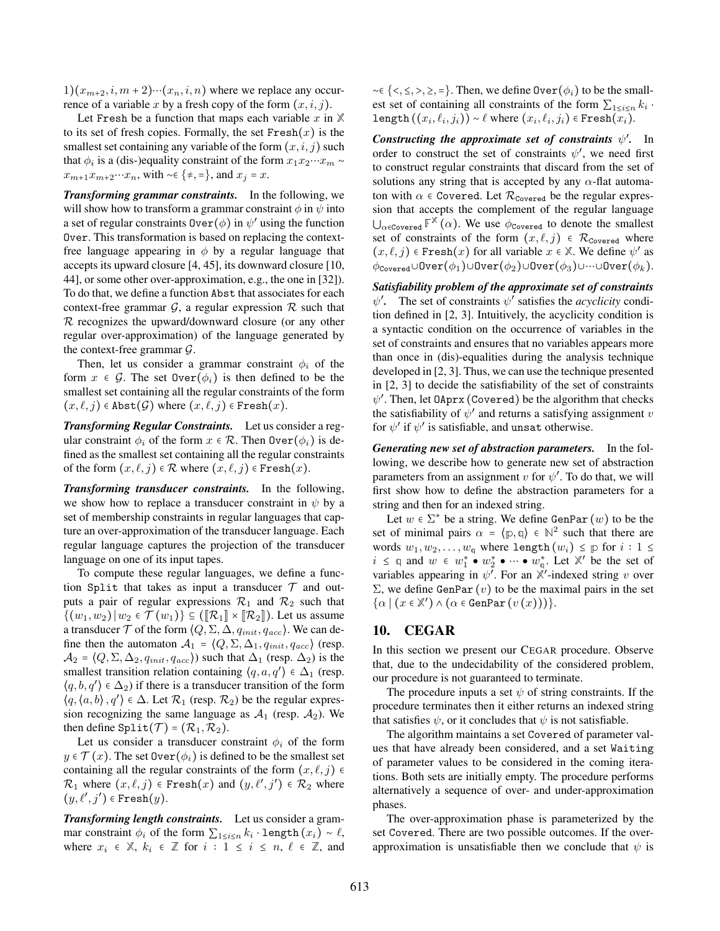$1)(x_{m+2}, i, m+2)\cdots(x_n, i, n)$  where we replace any occurrence of a variable x by a fresh copy of the form  $(x, i, j)$ .

Let Fresh be a function that maps each variable  $x$  in  $X$ to its set of fresh copies. Formally, the set  $Fresh(x)$  is the smallest set containing any variable of the form  $(x, i, j)$  such that  $\phi_i$  is a (dis-)equality constraint of the form  $x_1 x_2 \cdots x_m \sim$  $x_{m+1}x_{m+2}\cdots x_n$ , with ~∈ {≠, =}, and  $x_j = x$ .

*Transforming grammar constraints.* In the following, we will show how to transform a grammar constraint  $\phi$  in  $\psi$  into a set of regular constraints  $\text{Over}(\phi)$  in  $\psi'$  using the function Over. This transformation is based on replacing the contextfree language appearing in  $\phi$  by a regular language that accepts its upward closure [4, 45], its downward closure [10, 44], or some other over-approximation, e.g., the one in [32]). To do that, we define a function Abst that associates for each context-free grammar  $\mathcal{G}$ , a regular expression  $\mathcal{R}$  such that  $R$  recognizes the upward/downward closure (or any other regular over-approximation) of the language generated by the context-free grammar  $\mathcal{G}$ .

Then, let us consider a grammar constraint  $\phi_i$  of the form  $x \in \mathcal{G}$ . The set  $\mathsf{Over}(\phi_i)$  is then defined to be the smallest set containing all the regular constraints of the form  $(x, \ell, j) \in$  Abst $(\mathcal{G})$  where  $(x, \ell, j) \in$  Fresh $(x)$ .

*Transforming Regular Constraints.* Let us consider a regular constraint  $\phi_i$  of the form  $x \in \mathcal{R}$ . Then  $\text{Over}(\phi_i)$  is defined as the smallest set containing all the regular constraints of the form  $(x, \ell, j) \in \mathcal{R}$  where  $(x, \ell, j) \in$  Fresh $(x)$ .

*Transforming transducer constraints.* In the following, we show how to replace a transducer constraint in  $\psi$  by a set of membership constraints in regular languages that capture an over-approximation of the transducer language. Each regular language captures the projection of the transducer language on one of its input tapes.

To compute these regular languages, we define a function Split that takes as input a transducer  $T$  and outputs a pair of regular expressions  $\mathcal{R}_1$  and  $\mathcal{R}_2$  such that  $\{(w_1, w_2) | w_2 \in \mathcal{T}(w_1)\}\subseteq (\llbracket \mathcal{R}_1 \rrbracket \times \llbracket \mathcal{R}_2 \rrbracket)$ . Let us assume a transducer  $\mathcal T$  of the form  $\langle Q, \Sigma, \Delta, q_{init}, q_{acc} \rangle$ . We can define then the automaton  $A_1 = \langle Q, \Sigma, \Delta_1, q_{init}, q_{acc} \rangle$  (resp.  $\mathcal{A}_2 = \langle Q, \Sigma, \Delta_2, q_{init}, q_{acc} \rangle$  such that  $\Delta_1$  (resp.  $\Delta_2$ ) is the smallest transition relation containing  $\langle q, a, q' \rangle \in \Delta_1$  (resp.  $\langle q, b, q' \rangle \in \Delta_2$ ) if there is a transducer transition of the form  $\langle q, \langle a, b \rangle, q' \rangle \in \Delta$ . Let  $\mathcal{R}_1$  (resp.  $\mathcal{R}_2$ ) be the regular expression recognizing the same language as  $A_1$  (resp.  $A_2$ ). We then define Split $(\mathcal{T}) = (\mathcal{R}_1, \mathcal{R}_2)$ .

Let us consider a transducer constraint  $\phi_i$  of the form  $y \in \mathcal{T}(x)$ . The set  $\text{Over}(\phi_i)$  is defined to be the smallest set containing all the regular constraints of the form  $(x, \ell, j) \in$  $\mathcal{R}_1$  where  $(x,\ell,j)$   $\in$  Fresh $(x)$  and  $(y,\ell',j')$   $\in$   $\mathcal{R}_2$  where  $(y, \ell', j') \in \texttt{Fresh}(y).$ 

*Transforming length constraints.* Let us consider a grammar constraint  $\phi_i$  of the form  $\sum_{1 \leq i \leq n} k_i \cdot \text{length}(x_i) \sim \ell$ , where  $x_i \in \mathbb{X}$ ,  $k_i \in \mathbb{Z}$  for  $i: 1 \le i \le n, \ell \in \mathbb{Z}$ , and  $~\sim \in \{<,\leq,>,\geq,=\}$ . Then, we define 0ver( $\phi_i$ ) to be the smallest set of containing all constraints of the form  $\sum_{1 \leq i \leq n} k_i$ .  $\texttt{length}\left((x_i,\ell_i,j_i)\right) \sim \ell \text{ where } (x_i,\ell_i,j_i) \in \texttt{Fresh}(x_i).$ 

*Constructing the approximate set of constraints*  $\psi'$ *.* In order to construct the set of constraints  $\psi'$ , we need first to construct regular constraints that discard from the set of solutions any string that is accepted by any  $\alpha$ -flat automaton with  $\alpha \in \text{Covered.}$  Let  $\mathcal{R}_{\text{Covered}}$  be the regular expression that accepts the complement of the regular language  $\bigcup_{\alpha \in \text{Covered}} \mathbb{F}^{\mathbb{X}}(\alpha)$ . We use  $\phi_{\text{Covered}}$  to denote the smallest set of constraints of the form  $(x, \ell, j) \in \mathcal{R}_{\text{Covered}}$  where  $(x, \ell, j) \in \text{Fresh}(x)$  for all variable  $x \in \mathbb{X}$ . We define  $\psi'$  as  $\phi_{\text{Covered}} \cup \text{Over}(\phi_1) \cup \text{Over}(\phi_2) \cup \text{Over}(\phi_3) \cup \cdots \cup \text{Over}(\phi_k).$ 

*Satisfiability problem of the approximate set of constraints*  $\psi'$ . The set of constraints  $\psi'$  satisfies the *acyclicity* condition defined in [2, 3]. Intuitively, the acyclicity condition is a syntactic condition on the occurrence of variables in the set of constraints and ensures that no variables appears more than once in (dis)-equalities during the analysis technique developed in [2, 3]. Thus, we can use the technique presented in [2, 3] to decide the satisfiability of the set of constraints  $\psi'$ . Then, let 0Aprx (Covered) be the algorithm that checks the satisfiability of  $\psi'$  and returns a satisfying assignment v for  $\psi'$  if  $\psi'$  is satisfiable, and unsat otherwise.

*Generating new set of abstraction parameters.* In the following, we describe how to generate new set of abstraction parameters from an assignment v for  $\psi'$ . To do that, we will first show how to define the abstraction parameters for a string and then for an indexed string.

Let  $w \in \Sigma^*$  be a string. We define GenPar  $(w)$  to be the set of minimal pairs  $\alpha = \langle p, q \rangle \in \mathbb{N}^2$  such that there are words  $w_1, w_2, \ldots, w_q$  where length  $(w_i) \leq p$  for  $i : 1 \leq$  $i \leq q$  and  $w \in w_1^* \bullet w_2^* \bullet \cdots \bullet w_q^*$ . Let  $\mathbb{X}'$  be the set of variables appearing in  $\psi^{\tau}$ . For an  $\mathbb{X}'$ -indexed string v over  $\Sigma$ , we define GenPar (*v*) to be the maximal pairs in the set  $\{\alpha \mid (x \in \mathbb{X}') \wedge (\alpha \in \text{GenPar}(v(x)))\}.$ 

# 10. CEGAR

In this section we present our CEGAR procedure. Observe that, due to the undecidability of the considered problem, our procedure is not guaranteed to terminate.

The procedure inputs a set  $\psi$  of string constraints. If the procedure terminates then it either returns an indexed string that satisfies  $\psi$ , or it concludes that  $\psi$  is not satisfiable.

The algorithm maintains a set Covered of parameter values that have already been considered, and a set Waiting of parameter values to be considered in the coming iterations. Both sets are initially empty. The procedure performs alternatively a sequence of over- and under-approximation phases.

The over-approximation phase is parameterized by the set Covered. There are two possible outcomes. If the overapproximation is unsatisfiable then we conclude that  $\psi$  is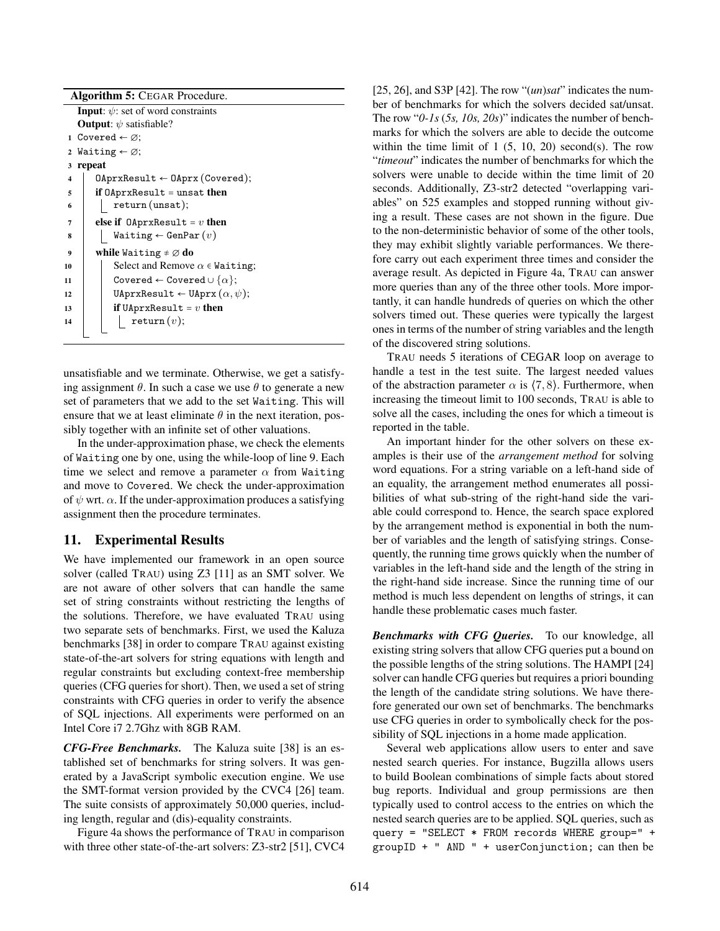| <b>Algorithm 5: CEGAR Procedure.</b>           |                                                   |  |  |  |  |  |  |  |  |  |  |
|------------------------------------------------|---------------------------------------------------|--|--|--|--|--|--|--|--|--|--|
| <b>Input:</b> $\psi$ : set of word constraints |                                                   |  |  |  |  |  |  |  |  |  |  |
|                                                | <b>Output:</b> $\psi$ satisfiable?                |  |  |  |  |  |  |  |  |  |  |
|                                                | 1 Covered $\leftarrow \varnothing$ :              |  |  |  |  |  |  |  |  |  |  |
| $\mathbf{2}$                                   | Waiting $\leftarrow \varnothing$ ;                |  |  |  |  |  |  |  |  |  |  |
| 3                                              | repeat                                            |  |  |  |  |  |  |  |  |  |  |
| 4                                              | $0$ AprxResult $\leftarrow 0$ Aprx(Covered);      |  |  |  |  |  |  |  |  |  |  |
| 5                                              | if $0$ AprxResult = unsat then                    |  |  |  |  |  |  |  |  |  |  |
| 6                                              | $return$ (unsat);                                 |  |  |  |  |  |  |  |  |  |  |
| 7                                              | else if $0$ AprxResult = v then                   |  |  |  |  |  |  |  |  |  |  |
| 8                                              | $\texttt{Waiting} \leftarrow \texttt{GenPar}(v)$  |  |  |  |  |  |  |  |  |  |  |
| 9                                              | while Waiting $\neq \emptyset$ do                 |  |  |  |  |  |  |  |  |  |  |
| 10                                             | Select and Remove $\alpha \in$ Waiting;           |  |  |  |  |  |  |  |  |  |  |
| 11                                             | Covered $\leftarrow$ Covered $\cup \{\alpha\};$   |  |  |  |  |  |  |  |  |  |  |
| 12                                             | UAprxResult $\leftarrow$ UAprx $(\alpha, \psi)$ ; |  |  |  |  |  |  |  |  |  |  |
| 13                                             | if UAprxResult = $v$ then                         |  |  |  |  |  |  |  |  |  |  |
| 14                                             | return(v);                                        |  |  |  |  |  |  |  |  |  |  |
|                                                |                                                   |  |  |  |  |  |  |  |  |  |  |

unsatisfiable and we terminate. Otherwise, we get a satisfying assignment  $\theta$ . In such a case we use  $\theta$  to generate a new set of parameters that we add to the set Waiting. This will ensure that we at least eliminate  $\theta$  in the next iteration, possibly together with an infinite set of other valuations.

In the under-approximation phase, we check the elements of Waiting one by one, using the while-loop of line 9. Each time we select and remove a parameter  $\alpha$  from Waiting and move to Covered. We check the under-approximation of  $\psi$  wrt.  $\alpha$ . If the under-approximation produces a satisfying assignment then the procedure terminates.

# 11. Experimental Results

We have implemented our framework in an open source solver (called TRAU) using Z3 [11] as an SMT solver. We are not aware of other solvers that can handle the same set of string constraints without restricting the lengths of the solutions. Therefore, we have evaluated TRAU using two separate sets of benchmarks. First, we used the Kaluza benchmarks [38] in order to compare TRAU against existing state-of-the-art solvers for string equations with length and regular constraints but excluding context-free membership queries (CFG queries for short). Then, we used a set of string constraints with CFG queries in order to verify the absence of SQL injections. All experiments were performed on an Intel Core i7 2.7Ghz with 8GB RAM.

*CFG-Free Benchmarks.* The Kaluza suite [38] is an established set of benchmarks for string solvers. It was generated by a JavaScript symbolic execution engine. We use the SMT-format version provided by the CVC4 [26] team. The suite consists of approximately 50,000 queries, including length, regular and (dis)-equality constraints.

Figure 4a shows the performance of TRAU in comparison with three other state-of-the-art solvers: Z3-str2 [51], CVC4 [25, 26], and S3P [42]. The row "(*un*)*sat*" indicates the number of benchmarks for which the solvers decided sat/unsat. The row "*0-1s* (*5s, 10s, 20s*)" indicates the number of benchmarks for which the solvers are able to decide the outcome within the time limit of  $1(5, 10, 20)$  second(s). The row "*timeout*" indicates the number of benchmarks for which the solvers were unable to decide within the time limit of 20 seconds. Additionally, Z3-str2 detected "overlapping variables" on 525 examples and stopped running without giving a result. These cases are not shown in the figure. Due to the non-deterministic behavior of some of the other tools, they may exhibit slightly variable performances. We therefore carry out each experiment three times and consider the average result. As depicted in Figure 4a, TRAU can answer more queries than any of the three other tools. More importantly, it can handle hundreds of queries on which the other solvers timed out. These queries were typically the largest ones in terms of the number of string variables and the length of the discovered string solutions.

TRAU needs 5 iterations of CEGAR loop on average to handle a test in the test suite. The largest needed values of the abstraction parameter  $\alpha$  is  $(7, 8)$ . Furthermore, when increasing the timeout limit to 100 seconds, TRAU is able to solve all the cases, including the ones for which a timeout is reported in the table.

An important hinder for the other solvers on these examples is their use of the *arrangement method* for solving word equations. For a string variable on a left-hand side of an equality, the arrangement method enumerates all possibilities of what sub-string of the right-hand side the variable could correspond to. Hence, the search space explored by the arrangement method is exponential in both the number of variables and the length of satisfying strings. Consequently, the running time grows quickly when the number of variables in the left-hand side and the length of the string in the right-hand side increase. Since the running time of our method is much less dependent on lengths of strings, it can handle these problematic cases much faster.

*Benchmarks with CFG Queries.* To our knowledge, all existing string solvers that allow CFG queries put a bound on the possible lengths of the string solutions. The HAMPI [24] solver can handle CFG queries but requires a priori bounding the length of the candidate string solutions. We have therefore generated our own set of benchmarks. The benchmarks use CFG queries in order to symbolically check for the possibility of SQL injections in a home made application.

Several web applications allow users to enter and save nested search queries. For instance, Bugzilla allows users to build Boolean combinations of simple facts about stored bug reports. Individual and group permissions are then typically used to control access to the entries on which the nested search queries are to be applied. SQL queries, such as query = "SELECT \* FROM records WHERE group=" + groupID + " AND " + userConjunction; can then be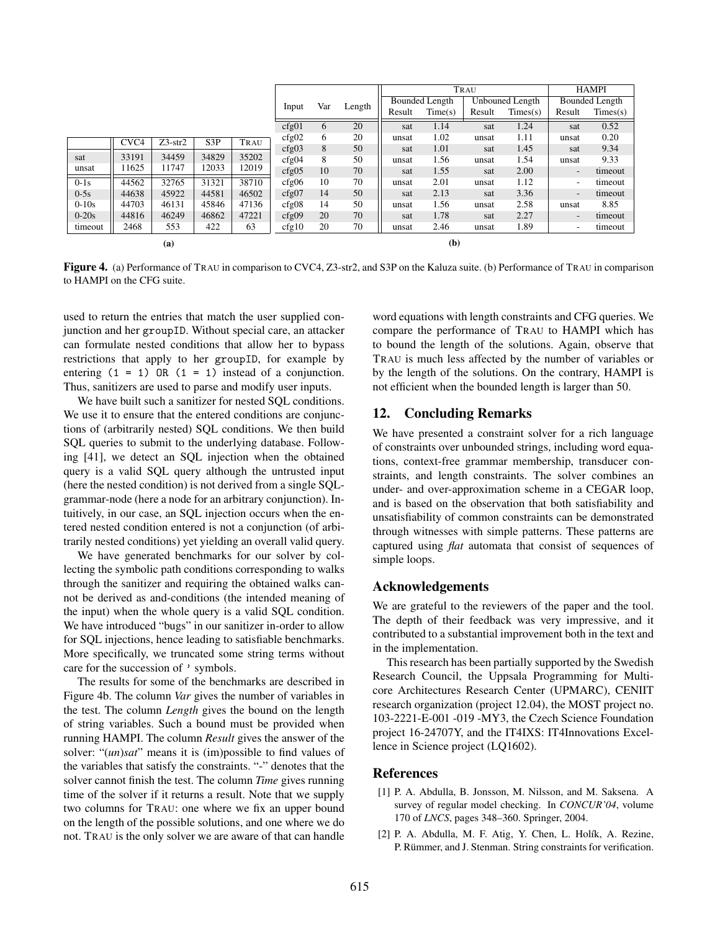|           |                  |           |       |       |       |     |        | TRAU                  |         |                 |          | <b>HAMPI</b>             |          |
|-----------|------------------|-----------|-------|-------|-------|-----|--------|-----------------------|---------|-----------------|----------|--------------------------|----------|
|           |                  |           |       |       |       | Var |        | <b>Bounded Length</b> |         | Unbouned Length |          | Bounded Length           |          |
|           |                  |           |       |       | Input |     | Length | Result                | Time(s) | Result          | Times(s) | Result                   | Times(s) |
|           |                  |           |       |       | cfg01 | 6   | 20     | sat                   | 1.14    | sat             | 1.24     | sat                      | 0.52     |
|           | CVC <sub>4</sub> | $Z3-str2$ | S3P   | TRAU  | cfg02 | 6   | 20     | unsat                 | 1.02    | unsat           | 1.11     | unsat                    | 0.20     |
|           |                  |           |       |       | cfg03 | 8   | 50     | sat                   | 1.01    | sat             | 1.45     | sat                      | 9.34     |
| sat       | 33191            | 34459     | 34829 | 35202 | cfg04 | 8   | 50     | unsat                 | 1.56    | unsat           | 1.54     | unsat                    | 9.33     |
| unsat     | 11625            | 11747     | 12033 | 12019 | cfg05 | 10  | 70     | sat                   | 1.55    | sat             | 2.00     | $\overline{\phantom{a}}$ | timeout  |
| $0-1s$    | 44562            | 32765     | 31321 | 38710 | cfg06 | 10  | 70     | unsat                 | 2.01    | unsat           | 1.12     | $\overline{\phantom{a}}$ | timeout  |
| $0-5s$    | 44638            | 45922     | 44581 | 46502 | cfg07 | 14  | 50     | sat                   | 2.13    | sat             | 3.36     | $\overline{\phantom{a}}$ | timeout  |
| $0 - 10s$ | 44703            | 46131     | 45846 | 47136 | cfg08 | 14  | 50     | unsat                 | 1.56    | unsat           | 2.58     | unsat                    | 8.85     |
| $0-20s$   | 44816            | 46249     | 46862 | 47221 | cfg09 | 20  | 70     | sat                   | 1.78    | sat             | 2.27     | $\overline{\phantom{a}}$ | timeout  |
| timeout   | 2468             | 553       | 422   | 63    | cfg10 | 20  | 70     | unsat                 | 2.46    | unsat           | 1.89     | ٠                        | timeout  |
| (a)       |                  |           |       |       |       |     |        |                       | (b)     |                 |          |                          |          |

Figure 4. (a) Performance of TRAU in comparison to CVC4, Z3-str2, and S3P on the Kaluza suite. (b) Performance of TRAU in comparison to HAMPI on the CFG suite.

used to return the entries that match the user supplied conjunction and her groupID. Without special care, an attacker can formulate nested conditions that allow her to bypass restrictions that apply to her groupID, for example by entering  $(1 = 1)$  OR  $(1 = 1)$  instead of a conjunction. Thus, sanitizers are used to parse and modify user inputs.

We have built such a sanitizer for nested SQL conditions. We use it to ensure that the entered conditions are conjunctions of (arbitrarily nested) SQL conditions. We then build SQL queries to submit to the underlying database. Following [41], we detect an SQL injection when the obtained query is a valid SQL query although the untrusted input (here the nested condition) is not derived from a single SQLgrammar-node (here a node for an arbitrary conjunction). Intuitively, in our case, an SQL injection occurs when the entered nested condition entered is not a conjunction (of arbitrarily nested conditions) yet yielding an overall valid query.

We have generated benchmarks for our solver by collecting the symbolic path conditions corresponding to walks through the sanitizer and requiring the obtained walks cannot be derived as and-conditions (the intended meaning of the input) when the whole query is a valid SQL condition. We have introduced "bugs" in our sanitizer in-order to allow for SQL injections, hence leading to satisfiable benchmarks. More specifically, we truncated some string terms without care for the succession of ' symbols.

The results for some of the benchmarks are described in Figure 4b. The column *Var* gives the number of variables in the test. The column *Length* gives the bound on the length of string variables. Such a bound must be provided when running HAMPI. The column *Result* gives the answer of the solver: "(*un*)*sat*" means it is (im)possible to find values of the variables that satisfy the constraints. "-" denotes that the solver cannot finish the test. The column *Time* gives running time of the solver if it returns a result. Note that we supply two columns for TRAU: one where we fix an upper bound on the length of the possible solutions, and one where we do not. TRAU is the only solver we are aware of that can handle

word equations with length constraints and CFG queries. We compare the performance of TRAU to HAMPI which has to bound the length of the solutions. Again, observe that TRAU is much less affected by the number of variables or by the length of the solutions. On the contrary, HAMPI is not efficient when the bounded length is larger than 50.

# 12. Concluding Remarks

We have presented a constraint solver for a rich language of constraints over unbounded strings, including word equations, context-free grammar membership, transducer constraints, and length constraints. The solver combines an under- and over-approximation scheme in a CEGAR loop, and is based on the observation that both satisfiability and unsatisfiability of common constraints can be demonstrated through witnesses with simple patterns. These patterns are captured using *flat* automata that consist of sequences of simple loops.

# Acknowledgements

We are grateful to the reviewers of the paper and the tool. The depth of their feedback was very impressive, and it contributed to a substantial improvement both in the text and in the implementation.

This research has been partially supported by the Swedish Research Council, the Uppsala Programming for Multicore Architectures Research Center (UPMARC), CENIIT research organization (project 12.04), the MOST project no. 103-2221-E-001 -019 -MY3, the Czech Science Foundation project 16-24707Y, and the IT4IXS: IT4Innovations Excellence in Science project (LQ1602).

# References

- [1] P. A. Abdulla, B. Jonsson, M. Nilsson, and M. Saksena. A survey of regular model checking. In *CONCUR'04*, volume 170 of *LNCS*, pages 348–360. Springer, 2004.
- [2] P. A. Abdulla, M. F. Atig, Y. Chen, L. Holík, A. Rezine, P. Rümmer, and J. Stenman. String constraints for verification.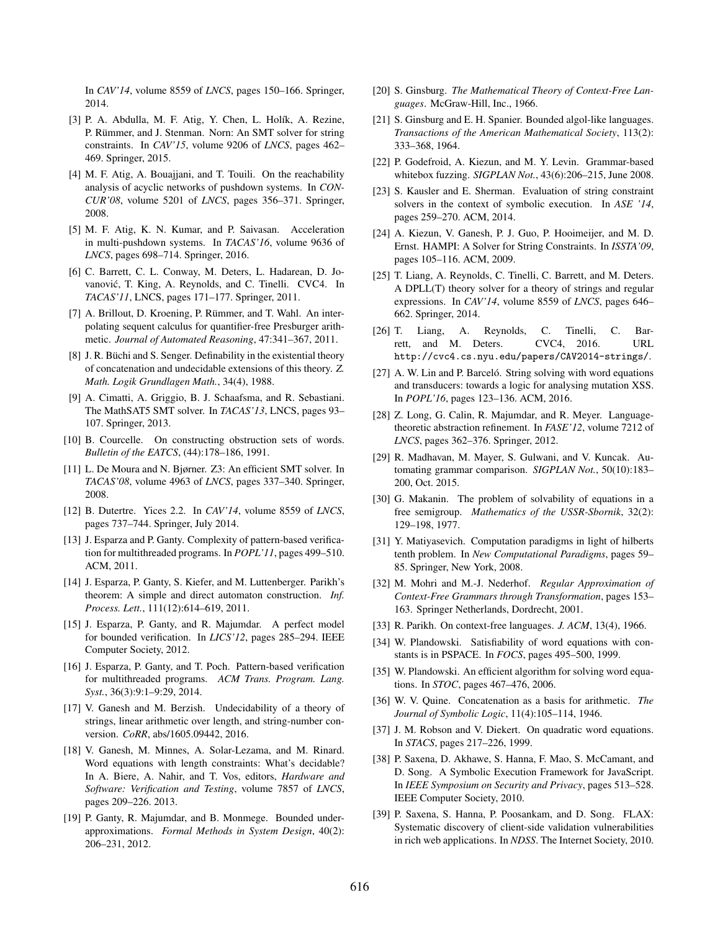In *CAV'14*, volume 8559 of *LNCS*, pages 150–166. Springer, 2014.

- [3] P. A. Abdulla, M. F. Atig, Y. Chen, L. Holík, A. Rezine, P. Rümmer, and J. Stenman. Norn: An SMT solver for string constraints. In *CAV'15*, volume 9206 of *LNCS*, pages 462– 469. Springer, 2015.
- [4] M. F. Atig, A. Bouajjani, and T. Touili. On the reachability analysis of acyclic networks of pushdown systems. In *CON-CUR'08*, volume 5201 of *LNCS*, pages 356–371. Springer, 2008.
- [5] M. F. Atig, K. N. Kumar, and P. Saivasan. Acceleration in multi-pushdown systems. In *TACAS'16*, volume 9636 of *LNCS*, pages 698–714. Springer, 2016.
- [6] C. Barrett, C. L. Conway, M. Deters, L. Hadarean, D. Jovanovic, T. King, A. Reynolds, and C. Tinelli. CVC4. In ´ *TACAS'11*, LNCS, pages 171–177. Springer, 2011.
- [7] A. Brillout, D. Kroening, P. Rümmer, and T. Wahl. An interpolating sequent calculus for quantifier-free Presburger arithmetic. *Journal of Automated Reasoning*, 47:341–367, 2011.
- [8] J. R. Büchi and S. Senger. Definability in the existential theory of concatenation and undecidable extensions of this theory. *Z. Math. Logik Grundlagen Math.*, 34(4), 1988.
- [9] A. Cimatti, A. Griggio, B. J. Schaafsma, and R. Sebastiani. The MathSAT5 SMT solver. In *TACAS'13*, LNCS, pages 93– 107. Springer, 2013.
- [10] B. Courcelle. On constructing obstruction sets of words. *Bulletin of the EATCS*, (44):178–186, 1991.
- [11] L. De Moura and N. Bjørner. Z3: An efficient SMT solver. In *TACAS'08*, volume 4963 of *LNCS*, pages 337–340. Springer, 2008.
- [12] B. Dutertre. Yices 2.2. In *CAV'14*, volume 8559 of *LNCS*, pages 737–744. Springer, July 2014.
- [13] J. Esparza and P. Ganty. Complexity of pattern-based verification for multithreaded programs. In *POPL'11*, pages 499–510. ACM, 2011.
- [14] J. Esparza, P. Ganty, S. Kiefer, and M. Luttenberger. Parikh's theorem: A simple and direct automaton construction. *Inf. Process. Lett.*, 111(12):614–619, 2011.
- [15] J. Esparza, P. Ganty, and R. Majumdar. A perfect model for bounded verification. In *LICS'12*, pages 285–294. IEEE Computer Society, 2012.
- [16] J. Esparza, P. Ganty, and T. Poch. Pattern-based verification for multithreaded programs. *ACM Trans. Program. Lang. Syst.*, 36(3):9:1–9:29, 2014.
- [17] V. Ganesh and M. Berzish. Undecidability of a theory of strings, linear arithmetic over length, and string-number conversion. *CoRR*, abs/1605.09442, 2016.
- [18] V. Ganesh, M. Minnes, A. Solar-Lezama, and M. Rinard. Word equations with length constraints: What's decidable? In A. Biere, A. Nahir, and T. Vos, editors, *Hardware and Software: Verification and Testing*, volume 7857 of *LNCS*, pages 209–226. 2013.
- [19] P. Ganty, R. Majumdar, and B. Monmege. Bounded underapproximations. *Formal Methods in System Design*, 40(2): 206–231, 2012.
- [20] S. Ginsburg. *The Mathematical Theory of Context-Free Languages*. McGraw-Hill, Inc., 1966.
- [21] S. Ginsburg and E. H. Spanier. Bounded algol-like languages. *Transactions of the American Mathematical Society*, 113(2): 333–368, 1964.
- [22] P. Godefroid, A. Kiezun, and M. Y. Levin. Grammar-based whitebox fuzzing. *SIGPLAN Not.*, 43(6):206–215, June 2008.
- [23] S. Kausler and E. Sherman. Evaluation of string constraint solvers in the context of symbolic execution. In *ASE '14*, pages 259–270. ACM, 2014.
- [24] A. Kiezun, V. Ganesh, P. J. Guo, P. Hooimeijer, and M. D. Ernst. HAMPI: A Solver for String Constraints. In *ISSTA'09*, pages 105–116. ACM, 2009.
- [25] T. Liang, A. Reynolds, C. Tinelli, C. Barrett, and M. Deters. A DPLL(T) theory solver for a theory of strings and regular expressions. In *CAV'14*, volume 8559 of *LNCS*, pages 646– 662. Springer, 2014.
- [26] T. Liang, A. Reynolds, C. Tinelli, C. Barrett, and M. Deters. CVC4, 2016. URL http://cvc4.cs.nyu.edu/papers/CAV2014-strings/.
- [27] A. W. Lin and P. Barceló. String solving with word equations and transducers: towards a logic for analysing mutation XSS. In *POPL'16*, pages 123–136. ACM, 2016.
- [28] Z. Long, G. Calin, R. Majumdar, and R. Meyer. Languagetheoretic abstraction refinement. In *FASE'12*, volume 7212 of *LNCS*, pages 362–376. Springer, 2012.
- [29] R. Madhavan, M. Mayer, S. Gulwani, and V. Kuncak. Automating grammar comparison. *SIGPLAN Not.*, 50(10):183– 200, Oct. 2015.
- [30] G. Makanin. The problem of solvability of equations in a free semigroup. *Mathematics of the USSR-Sbornik*, 32(2): 129–198, 1977.
- [31] Y. Matiyasevich. Computation paradigms in light of hilberts tenth problem. In *New Computational Paradigms*, pages 59– 85. Springer, New York, 2008.
- [32] M. Mohri and M.-J. Nederhof. *Regular Approximation of Context-Free Grammars through Transformation*, pages 153– 163. Springer Netherlands, Dordrecht, 2001.
- [33] R. Parikh. On context-free languages. *J. ACM*, 13(4), 1966.
- [34] W. Plandowski. Satisfiability of word equations with constants is in PSPACE. In *FOCS*, pages 495–500, 1999.
- [35] W. Plandowski. An efficient algorithm for solving word equations. In *STOC*, pages 467–476, 2006.
- [36] W. V. Quine. Concatenation as a basis for arithmetic. *The Journal of Symbolic Logic*, 11(4):105–114, 1946.
- [37] J. M. Robson and V. Diekert. On quadratic word equations. In *STACS*, pages 217–226, 1999.
- [38] P. Saxena, D. Akhawe, S. Hanna, F. Mao, S. McCamant, and D. Song. A Symbolic Execution Framework for JavaScript. In *IEEE Symposium on Security and Privacy*, pages 513–528. IEEE Computer Society, 2010.
- [39] P. Saxena, S. Hanna, P. Poosankam, and D. Song. FLAX: Systematic discovery of client-side validation vulnerabilities in rich web applications. In *NDSS*. The Internet Society, 2010.